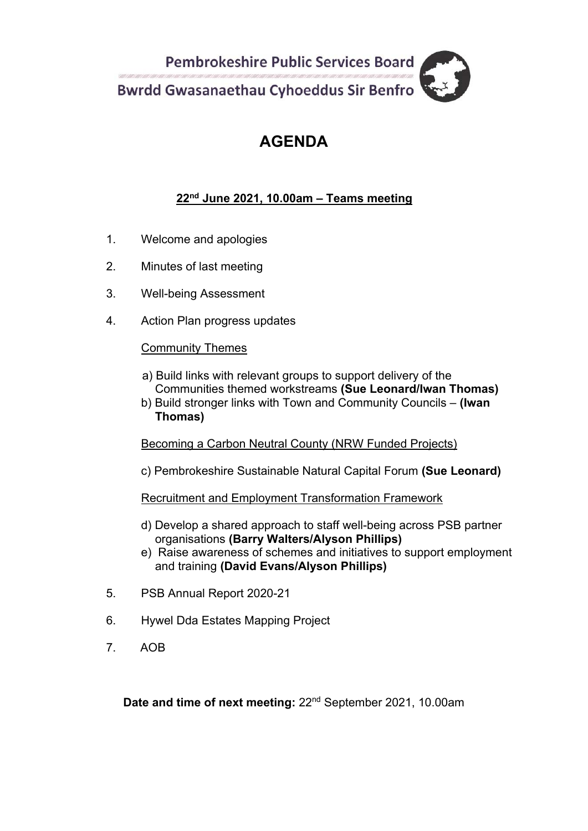**Pembrokeshire Public Services Board Bwrdd Gwasanaethau Cyhoeddus Sir Benfro** 

## **AGENDA**

#### **22nd June 2021, 10.00am – Teams meeting**

- 1. Welcome and apologies
- 2. Minutes of last meeting
- 3. Well-being Assessment
- 4. Action Plan progress updates

#### Community Themes

- a) Build links with relevant groups to support delivery of the Communities themed workstreams **(Sue Leonard/Iwan Thomas)**
- b) Build stronger links with Town and Community Councils **(Iwan Thomas)**

#### Becoming a Carbon Neutral County (NRW Funded Projects)

c) Pembrokeshire Sustainable Natural Capital Forum **(Sue Leonard)**

Recruitment and Employment Transformation Framework

- d) Develop a shared approach to staff well-being across PSB partner organisations **(Barry Walters/Alyson Phillips)**
- e) Raise awareness of schemes and initiatives to support employment and training **(David Evans/Alyson Phillips)**
- 5. PSB Annual Report 2020-21
- 6. Hywel Dda Estates Mapping Project
- 7. AOB

Date and time of next meeting: 22<sup>nd</sup> September 2021, 10.00am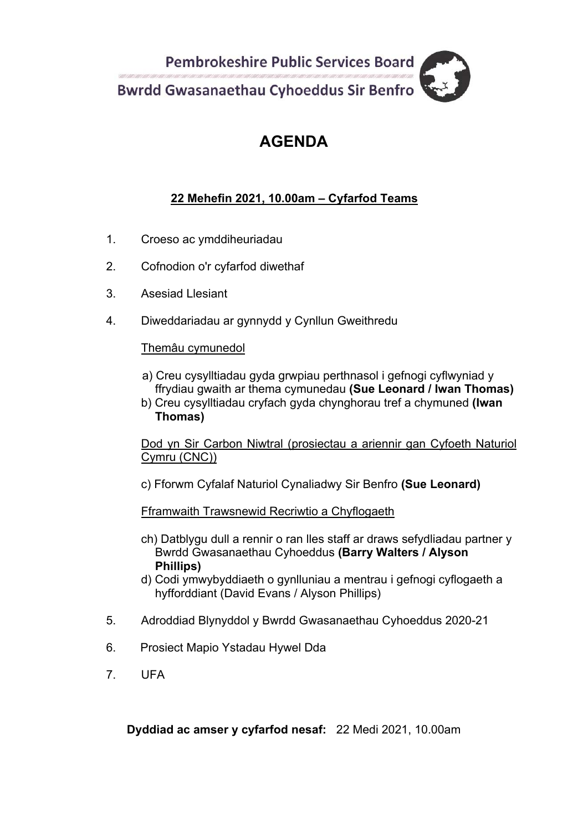**Pembrokeshire Public Services Board Bwrdd Gwasanaethau Cyhoeddus Sir Benfro** 

## **AGENDA**

#### **22 Mehefin 2021, 10.00am – Cyfarfod Teams**

- 1. Croeso ac ymddiheuriadau
- 2. Cofnodion o'r cyfarfod diwethaf
- 3. Asesiad Llesiant
- 4. Diweddariadau ar gynnydd y Cynllun Gweithredu

#### Themâu cymunedol

- a) Creu cysylltiadau gyda grwpiau perthnasol i gefnogi cyflwyniad y ffrydiau gwaith ar thema cymunedau **(Sue Leonard / Iwan Thomas)**
- b) Creu cysylltiadau cryfach gyda chynghorau tref a chymuned **(Iwan Thomas)**

Dod yn Sir Carbon Niwtral (prosiectau a ariennir gan Cyfoeth Naturiol Cymru (CNC))

c) Fforwm Cyfalaf Naturiol Cynaliadwy Sir Benfro **(Sue Leonard)**

Fframwaith Trawsnewid Recriwtio a Chyflogaeth

- ch) Datblygu dull a rennir o ran lles staff ar draws sefydliadau partner y Bwrdd Gwasanaethau Cyhoeddus **(Barry Walters / Alyson Phillips)**
- d) Codi ymwybyddiaeth o gynlluniau a mentrau i gefnogi cyflogaeth a hyfforddiant (David Evans / Alyson Phillips)
- 5. Adroddiad Blynyddol y Bwrdd Gwasanaethau Cyhoeddus 2020-21
- 6. Prosiect Mapio Ystadau Hywel Dda
- 7. UFA

**Dyddiad ac amser y cyfarfod nesaf:** 22 Medi 2021, 10.00am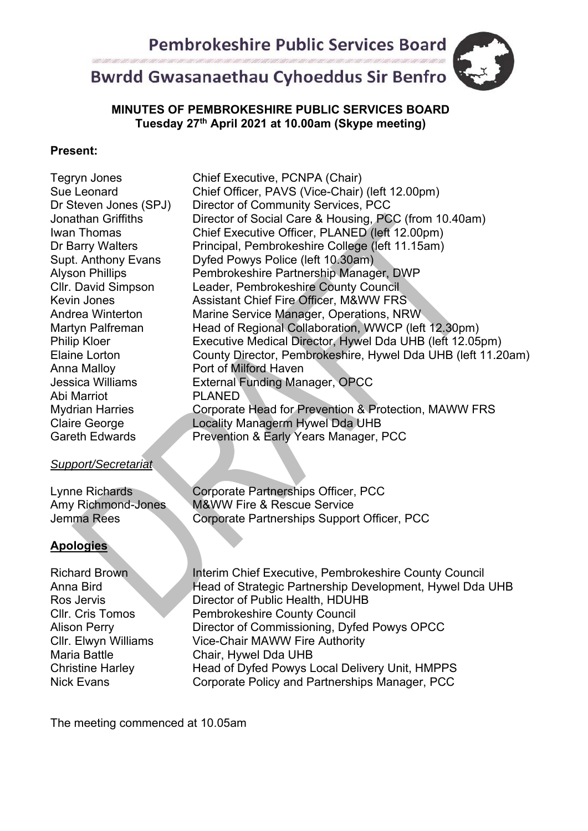## **Bwrdd Gwasanaethau Cyhoeddus Sir Benfro**



#### **MINUTES OF PEMBROKESHIRE PUBLIC SERVICES BOARD Tuesday 27th April 2021 at 10.00am (Skype meeting)**

#### **Present:**

Anna Malloy Port of Milford Haven Abi Marriot PLANED

#### *Support/Secretariat*

Lynne Richards Corporate Partnerships Officer, PCC Amy Richmond-Jones M&WW Fire & Rescue Service Jemma Rees Corporate Partnerships Support Officer, PCC

#### **Apologies**

Richard Brown Interim Chief Executive, Pembrokeshire County Council Anna Bird **Head of Strategic Partnership Development, Hywel Dda UHB** Ros Jervis Director of Public Health, HDUHB Cllr. Cris Tomos Pembrokeshire County Council Alison Perry **Director of Commissioning, Dyfed Powys OPCC** Cllr. Elwyn Williams Vice-Chair MAWW Fire Authority Maria Battle Chair, Hywel Dda UHB Christine Harley Head of Dyfed Powys Local Delivery Unit, HMPPS Nick Evans Corporate Policy and Partnerships Manager, PCC

The meeting commenced at 10.05am

Tegryn Jones Chief Executive, PCNPA (Chair) Sue Leonard Chief Officer, PAVS (Vice-Chair) (left 12.00pm) Dr Steven Jones (SPJ) Director of Community Services, PCC Jonathan Griffiths Director of Social Care & Housing, PCC (from 10.40am) Iwan Thomas Chief Executive Officer, PLANED (left 12.00pm) Dr Barry Walters Principal, Pembrokeshire College (left 11.15am) Supt. Anthony Evans Dyfed Powys Police (left 10.30am) Alyson Phillips **Pembrokeshire Partnership Manager, DWP**<br>Cllr. David Simpson Leader, Pembrokeshire County Council Leader, Pembrokeshire County Council Kevin Jones **Assistant Chief Fire Officer, M&WW FRS** Andrea Winterton Marine Service Manager, Operations, NRW Martyn Palfreman Head of Regional Collaboration, WWCP (left 12.30pm) Philip Kloer Executive Medical Director, Hywel Dda UHB (left 12.05pm) Elaine Lorton County Director, Pembrokeshire, Hywel Dda UHB (left 11.20am) Jessica Williams External Funding Manager, OPCC Mydrian Harries Corporate Head for Prevention & Protection, MAWW FRS Claire George Locality Managerm Hywel Dda UHB Gareth Edwards **Prevention & Early Years Manager, PCC**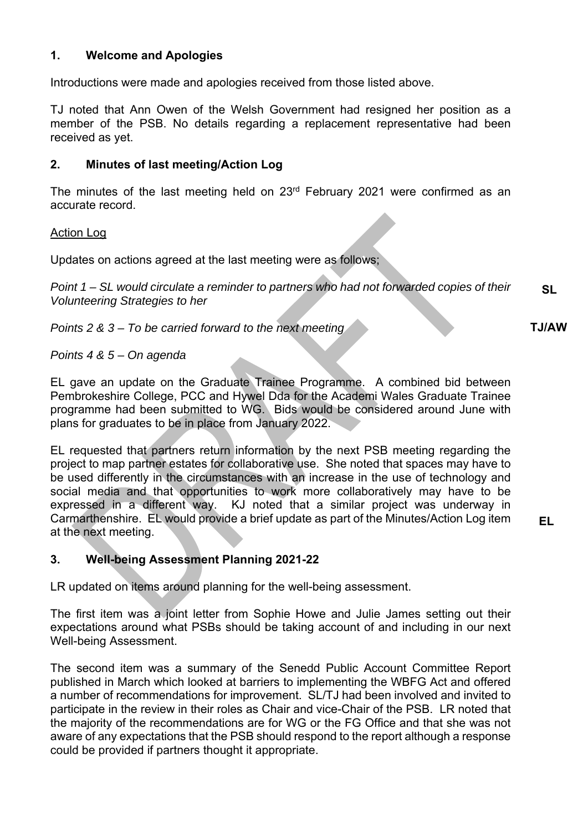#### **1. Welcome and Apologies**

Introductions were made and apologies received from those listed above.

TJ noted that Ann Owen of the Welsh Government had resigned her position as a member of the PSB. No details regarding a replacement representative had been received as yet.

#### **2. Minutes of last meeting/Action Log**

The minutes of the last meeting held on 23<sup>rd</sup> February 2021 were confirmed as an accurate record.

#### Action Log

Updates on actions agreed at the last meeting were as follows;

*Point 1 – SL would circulate a reminder to partners who had not forwarded copies of their Volunteering Strategies to her*  **SL** 

*Points 2 & 3 – To be carried forward to the next meeting* 

#### *Points 4 & 5 – On agenda*

EL gave an update on the Graduate Trainee Programme. A combined bid between Pembrokeshire College, PCC and Hywel Dda for the Academi Wales Graduate Trainee programme had been submitted to WG. Bids would be considered around June with plans for graduates to be in place from January 2022.

EL requested that partners return information by the next PSB meeting regarding the project to map partner estates for collaborative use. She noted that spaces may have to be used differently in the circumstances with an increase in the use of technology and social media and that opportunities to work more collaboratively may have to be expressed in a different way. KJ noted that a similar project was underway in Carmarthenshire. EL would provide a brief update as part of the Minutes/Action Log item at the next meeting.

#### **3. Well-being Assessment Planning 2021-22**

LR updated on items around planning for the well-being assessment.

The first item was a joint letter from Sophie Howe and Julie James setting out their expectations around what PSBs should be taking account of and including in our next Well-being Assessment.

The second item was a summary of the Senedd Public Account Committee Report published in March which looked at barriers to implementing the WBFG Act and offered a number of recommendations for improvement. SL/TJ had been involved and invited to participate in the review in their roles as Chair and vice-Chair of the PSB. LR noted that the majority of the recommendations are for WG or the FG Office and that she was not aware of any expectations that the PSB should respond to the report although a response could be provided if partners thought it appropriate.

**TJ/AW** 

**EL**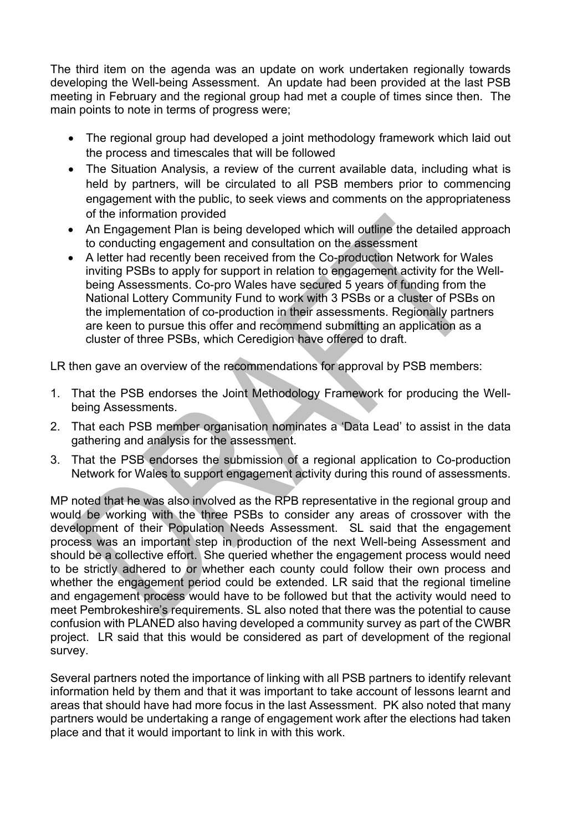The third item on the agenda was an update on work undertaken regionally towards developing the Well-being Assessment. An update had been provided at the last PSB meeting in February and the regional group had met a couple of times since then. The main points to note in terms of progress were;

- The regional group had developed a joint methodology framework which laid out the process and timescales that will be followed
- The Situation Analysis, a review of the current available data, including what is held by partners, will be circulated to all PSB members prior to commencing engagement with the public, to seek views and comments on the appropriateness of the information provided
- An Engagement Plan is being developed which will outline the detailed approach to conducting engagement and consultation on the assessment
- A letter had recently been received from the Co-production Network for Wales inviting PSBs to apply for support in relation to engagement activity for the Wellbeing Assessments. Co-pro Wales have secured 5 years of funding from the National Lottery Community Fund to work with 3 PSBs or a cluster of PSBs on the implementation of co-production in their assessments. Regionally partners are keen to pursue this offer and recommend submitting an application as a cluster of three PSBs, which Ceredigion have offered to draft.

LR then gave an overview of the recommendations for approval by PSB members:

- 1. That the PSB endorses the Joint Methodology Framework for producing the Wellbeing Assessments.
- 2. That each PSB member organisation nominates a 'Data Lead' to assist in the data gathering and analysis for the assessment.
- 3. That the PSB endorses the submission of a regional application to Co-production Network for Wales to support engagement activity during this round of assessments.

MP noted that he was also involved as the RPB representative in the regional group and would be working with the three PSBs to consider any areas of crossover with the development of their Population Needs Assessment. SL said that the engagement process was an important step in production of the next Well-being Assessment and should be a collective effort. She queried whether the engagement process would need to be strictly adhered to or whether each county could follow their own process and whether the engagement period could be extended. LR said that the regional timeline and engagement process would have to be followed but that the activity would need to meet Pembrokeshire's requirements. SL also noted that there was the potential to cause confusion with PLANED also having developed a community survey as part of the CWBR project. LR said that this would be considered as part of development of the regional survey.

Several partners noted the importance of linking with all PSB partners to identify relevant information held by them and that it was important to take account of lessons learnt and areas that should have had more focus in the last Assessment. PK also noted that many partners would be undertaking a range of engagement work after the elections had taken place and that it would important to link in with this work.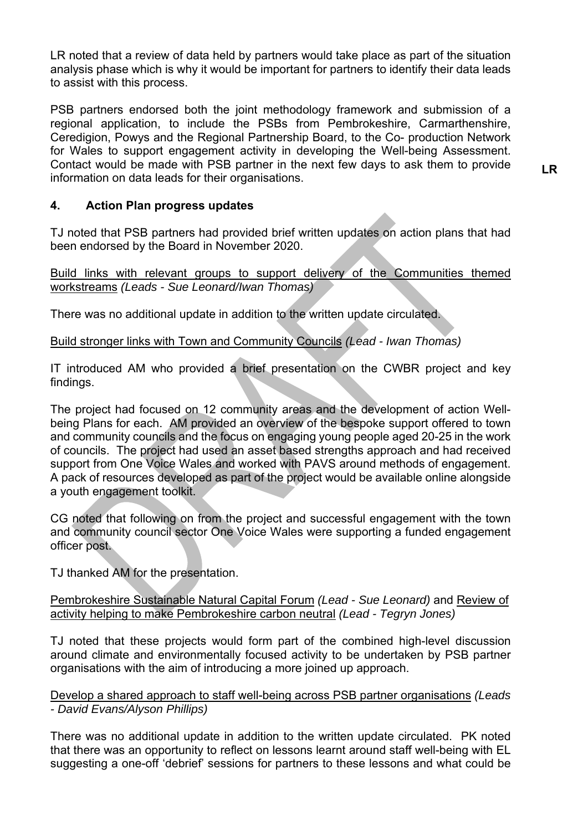LR noted that a review of data held by partners would take place as part of the situation analysis phase which is why it would be important for partners to identify their data leads to assist with this process.

PSB partners endorsed both the joint methodology framework and submission of a regional application, to include the PSBs from Pembrokeshire, Carmarthenshire, Ceredigion, Powys and the Regional Partnership Board, to the Co- production Network for Wales to support engagement activity in developing the Well-being Assessment. Contact would be made with PSB partner in the next few days to ask them to provide information on data leads for their organisations.

**LR** 

#### **4. Action Plan progress updates**

TJ noted that PSB partners had provided brief written updates on action plans that had been endorsed by the Board in November 2020.

Build links with relevant groups to support delivery of the Communities themed workstreams *(Leads - Sue Leonard/Iwan Thomas)*

There was no additional update in addition to the written update circulated.

Build stronger links with Town and Community Councils *(Lead - Iwan Thomas)*

IT introduced AM who provided a brief presentation on the CWBR project and key findings.

The project had focused on 12 community areas and the development of action Wellbeing Plans for each. AM provided an overview of the bespoke support offered to town and community councils and the focus on engaging young people aged 20-25 in the work of councils. The project had used an asset based strengths approach and had received support from One Voice Wales and worked with PAVS around methods of engagement. A pack of resources developed as part of the project would be available online alongside a youth engagement toolkit.

CG noted that following on from the project and successful engagement with the town and community council sector One Voice Wales were supporting a funded engagement officer post.

TJ thanked AM for the presentation.

Pembrokeshire Sustainable Natural Capital Forum *(Lead - Sue Leonard)* and Review of activity helping to make Pembrokeshire carbon neutral *(Lead - Tegryn Jones)*

TJ noted that these projects would form part of the combined high-level discussion around climate and environmentally focused activity to be undertaken by PSB partner organisations with the aim of introducing a more joined up approach.

Develop a shared approach to staff well-being across PSB partner organisations *(Leads - David Evans/Alyson Phillips)*

There was no additional update in addition to the written update circulated. PK noted that there was an opportunity to reflect on lessons learnt around staff well-being with EL suggesting a one-off 'debrief' sessions for partners to these lessons and what could be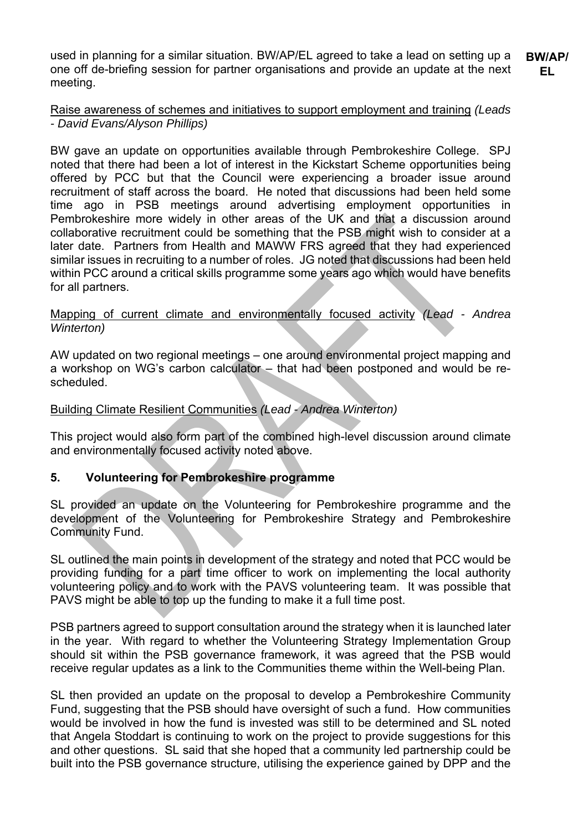used in planning for a similar situation. BW/AP/EL agreed to take a lead on setting up a one off de-briefing session for partner organisations and provide an update at the next meeting. **BW/AP/ EL** 

#### Raise awareness of schemes and initiatives to support employment and training *(Leads - David Evans/Alyson Phillips)*

BW gave an update on opportunities available through Pembrokeshire College. SPJ noted that there had been a lot of interest in the Kickstart Scheme opportunities being offered by PCC but that the Council were experiencing a broader issue around recruitment of staff across the board. He noted that discussions had been held some time ago in PSB meetings around advertising employment opportunities in Pembrokeshire more widely in other areas of the UK and that a discussion around collaborative recruitment could be something that the PSB might wish to consider at a later date. Partners from Health and MAWW FRS agreed that they had experienced similar issues in recruiting to a number of roles. JG noted that discussions had been held within PCC around a critical skills programme some years ago which would have benefits for all partners.

Mapping of current climate and environmentally focused activity *(Lead - Andrea Winterton)*

AW updated on two regional meetings – one around environmental project mapping and a workshop on WG's carbon calculator – that had been postponed and would be rescheduled.

#### Building Climate Resilient Communities *(Lead - Andrea Winterton)*

This project would also form part of the combined high-level discussion around climate and environmentally focused activity noted above.

#### **5. Volunteering for Pembrokeshire programme**

SL provided an update on the Volunteering for Pembrokeshire programme and the development of the Volunteering for Pembrokeshire Strategy and Pembrokeshire Community Fund.

SL outlined the main points in development of the strategy and noted that PCC would be providing funding for a part time officer to work on implementing the local authority volunteering policy and to work with the PAVS volunteering team. It was possible that PAVS might be able to top up the funding to make it a full time post.

PSB partners agreed to support consultation around the strategy when it is launched later in the year. With regard to whether the Volunteering Strategy Implementation Group should sit within the PSB governance framework, it was agreed that the PSB would receive regular updates as a link to the Communities theme within the Well-being Plan.

SL then provided an update on the proposal to develop a Pembrokeshire Community Fund, suggesting that the PSB should have oversight of such a fund. How communities would be involved in how the fund is invested was still to be determined and SL noted that Angela Stoddart is continuing to work on the project to provide suggestions for this and other questions. SL said that she hoped that a community led partnership could be built into the PSB governance structure, utilising the experience gained by DPP and the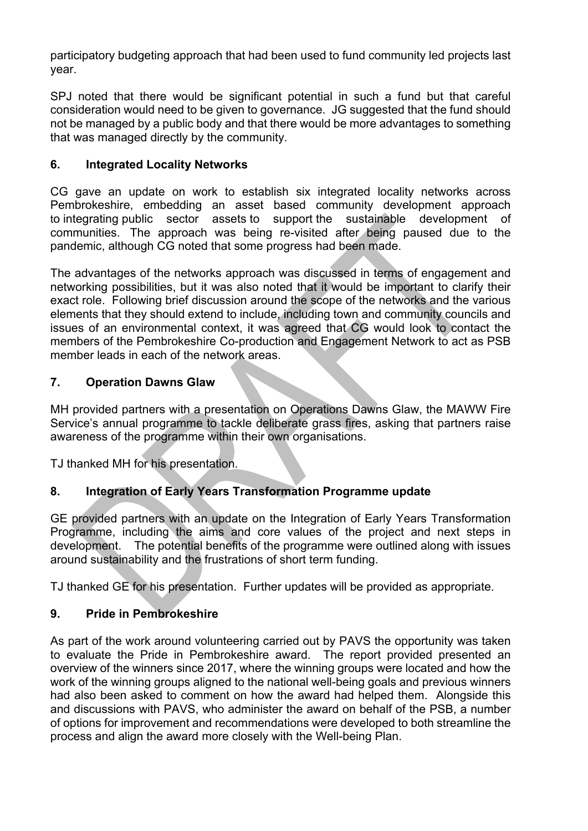participatory budgeting approach that had been used to fund community led projects last year.

SPJ noted that there would be significant potential in such a fund but that careful consideration would need to be given to governance. JG suggested that the fund should not be managed by a public body and that there would be more advantages to something that was managed directly by the community.

#### **6. Integrated Locality Networks**

CG gave an update on work to establish six integrated locality networks across Pembrokeshire, embedding an asset based community development approach to integrating public sector assets to support the sustainable development of communities. The approach was being re-visited after being paused due to the pandemic, although CG noted that some progress had been made.

The advantages of the networks approach was discussed in terms of engagement and networking possibilities, but it was also noted that it would be important to clarify their exact role. Following brief discussion around the scope of the networks and the various elements that they should extend to include, including town and community councils and issues of an environmental context, it was agreed that CG would look to contact the members of the Pembrokeshire Co-production and Engagement Network to act as PSB member leads in each of the network areas.

#### **7. Operation Dawns Glaw**

MH provided partners with a presentation on Operations Dawns Glaw, the MAWW Fire Service's annual programme to tackle deliberate grass fires, asking that partners raise awareness of the programme within their own organisations.

TJ thanked MH for his presentation.

#### **8. Integration of Early Years Transformation Programme update**

GE provided partners with an update on the Integration of Early Years Transformation Programme, including the aims and core values of the project and next steps in development. The potential benefits of the programme were outlined along with issues around sustainability and the frustrations of short term funding.

TJ thanked GE for his presentation. Further updates will be provided as appropriate.

#### **9. Pride in Pembrokeshire**

As part of the work around volunteering carried out by PAVS the opportunity was taken to evaluate the Pride in Pembrokeshire award. The report provided presented an overview of the winners since 2017, where the winning groups were located and how the work of the winning groups aligned to the national well-being goals and previous winners had also been asked to comment on how the award had helped them. Alongside this and discussions with PAVS, who administer the award on behalf of the PSB, a number of options for improvement and recommendations were developed to both streamline the process and align the award more closely with the Well-being Plan.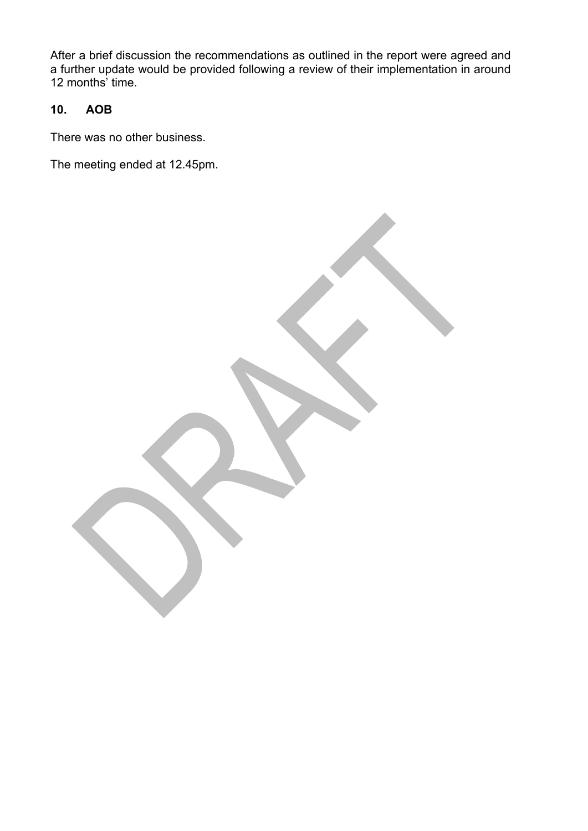After a brief discussion the recommendations as outlined in the report were agreed and a further update would be provided following a review of their implementation in around 12 months' time.

#### **10. AOB**

There was no other business.

The meeting ended at 12.45pm.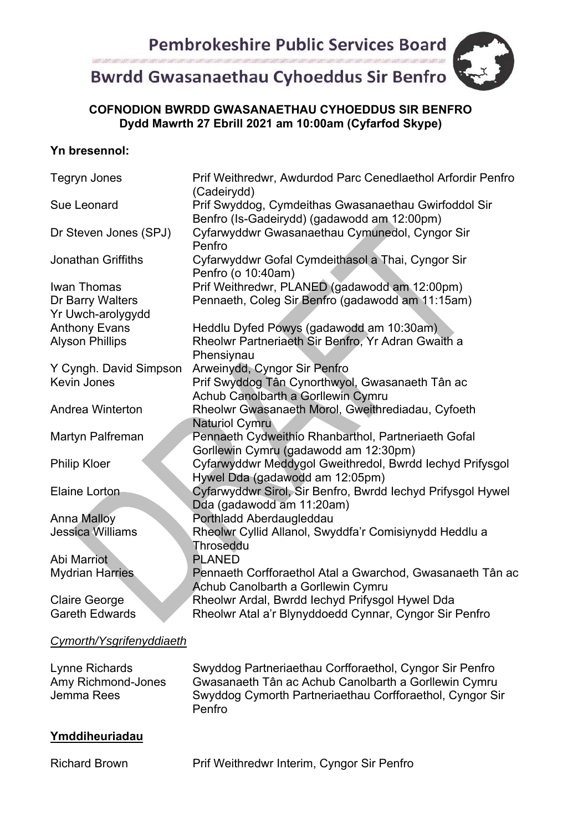# **Bwrdd Gwasanaethau Cyhoeddus Sir Benfro**

#### **COFNODION BWRDD GWASANAETHAU CYHOEDDUS SIR BENFRO Dydd Mawrth 27 Ebrill 2021 am 10:00am (Cyfarfod Skype)**

#### **Yn bresennol:**

| <b>Tegryn Jones</b>       | Prif Weithredwr, Awdurdod Parc Cenedlaethol Arfordir Penfro<br>(Cadeirydd)                          |
|---------------------------|-----------------------------------------------------------------------------------------------------|
| Sue Leonard               | Prif Swyddog, Cymdeithas Gwasanaethau Gwirfoddol Sir<br>Benfro (Is-Gadeirydd) (gadawodd am 12:00pm) |
| Dr Steven Jones (SPJ)     | Cyfarwyddwr Gwasanaethau Cymunedol, Cyngor Sir<br>Penfro                                            |
| <b>Jonathan Griffiths</b> | Cyfarwyddwr Gofal Cymdeithasol a Thai, Cyngor Sir<br>Penfro (o 10:40am)                             |
| Iwan Thomas               | Prif Weithredwr, PLANED (gadawodd am 12:00pm)                                                       |
| Dr Barry Walters          | Pennaeth, Coleg Sir Benfro (gadawodd am 11:15am)                                                    |
| Yr Uwch-arolygydd         |                                                                                                     |
| <b>Anthony Evans</b>      | Heddlu Dyfed Powys (gadawodd am 10:30am)                                                            |
| <b>Alyson Phillips</b>    | Rheolwr Partneriaeth Sir Benfro, Yr Adran Gwaith a<br>Phensiynau                                    |
| Y Cyngh. David Simpson    | Arweinydd, Cyngor Sir Penfro                                                                        |
| Kevin Jones               | Prif Swyddog Tân Cynorthwyol, Gwasanaeth Tân ac                                                     |
|                           | Achub Canolbarth a Gorllewin Cymru                                                                  |
| Andrea Winterton          | Rheolwr Gwasanaeth Morol, Gweithrediadau, Cyfoeth<br><b>Naturiol Cymru</b>                          |
| Martyn Palfreman          | Pennaeth Cydweithio Rhanbarthol, Partneriaeth Gofal                                                 |
|                           | Gorllewin Cymru (gadawodd am 12:30pm)                                                               |
| <b>Philip Kloer</b>       | Cyfarwyddwr Meddygol Gweithredol, Bwrdd Iechyd Prifysgol                                            |
|                           | Hywel Dda (gadawodd am 12:05pm)                                                                     |
| <b>Elaine Lorton</b>      | Cyfarwyddwr Sirol, Sir Benfro, Bwrdd Iechyd Prifysgol Hywel<br>Dda (gadawodd am 11:20am)            |
| <b>Anna Malloy</b>        | Porthladd Aberdaugleddau                                                                            |
| <b>Jessica Williams</b>   | Rheolwr Cyllid Allanol, Swyddfa'r Comisiynydd Heddlu a                                              |
|                           | Throseddu                                                                                           |
| Abi Marriot               | <b>PLANED</b>                                                                                       |
| <b>Mydrian Harries</b>    | Pennaeth Corfforaethol Atal a Gwarchod, Gwasanaeth Tân ac                                           |
|                           | Achub Canolbarth a Gorllewin Cymru                                                                  |
| <b>Claire George</b>      | Rheolwr Ardal, Bwrdd Iechyd Prifysgol Hywel Dda                                                     |
| <b>Gareth Edwards</b>     | Rheolwr Atal a'r Blynyddoedd Cynnar, Cyngor Sir Penfro                                              |
|                           |                                                                                                     |
| Cymorth/Ysgrifenyddiaeth  |                                                                                                     |
| Lynne Richards            | Swyddog Partneriaethau Corfforaethol, Cyngor Sir Penfro                                             |
| Amy Richmond-Jones        | Gwasanaeth Tân ac Achub Canolbarth a Gorllewin Cymru                                                |
| Jemma Rees                | Swyddog Cymorth Partneriaethau Corfforaethol, Cyngor Sir<br>Penfro                                  |

#### **Ymddiheuriadau**

Richard Brown Prif Weithredwr Interim, Cyngor Sir Penfro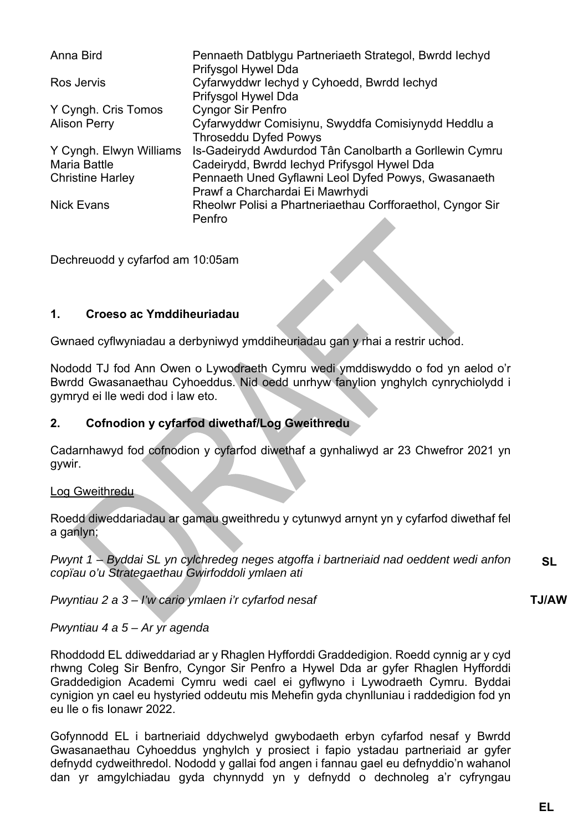| Anna Bird               | Pennaeth Datblygu Partneriaeth Strategol, Bwrdd Iechyd<br>Prifysgol Hywel Dda          |  |
|-------------------------|----------------------------------------------------------------------------------------|--|
| Ros Jervis              | Cyfarwyddwr Iechyd y Cyhoedd, Bwrdd Iechyd<br>Prifysgol Hywel Dda                      |  |
| Y Cyngh. Cris Tomos     | <b>Cyngor Sir Penfro</b>                                                               |  |
| <b>Alison Perry</b>     | Cyfarwyddwr Comisiynu, Swyddfa Comisiynydd Heddlu a<br><b>Throseddu Dyfed Powys</b>    |  |
| Y Cyngh. Elwyn Williams | Is-Gadeirydd Awdurdod Tân Canolbarth a Gorllewin Cymru                                 |  |
| <b>Maria Battle</b>     | Cadeirydd, Bwrdd Iechyd Prifysgol Hywel Dda                                            |  |
| <b>Christine Harley</b> | Pennaeth Uned Gyflawni Leol Dyfed Powys, Gwasanaeth<br>Prawf a Charchardai Ei Mawrhydi |  |
| <b>Nick Evans</b>       | Rheolwr Polisi a Phartneriaethau Corfforaethol, Cyngor Sir<br>Penfro                   |  |

Dechreuodd y cyfarfod am 10:05am

#### **1. Croeso ac Ymddiheuriadau**

Gwnaed cyflwyniadau a derbyniwyd ymddiheuriadau gan y rhai a restrir uchod.

Nododd TJ fod Ann Owen o Lywodraeth Cymru wedi ymddiswyddo o fod yn aelod o'r Bwrdd Gwasanaethau Cyhoeddus. Nid oedd unrhyw fanylion ynghylch cynrychiolydd i gymryd ei lle wedi dod i law eto.

#### **2. Cofnodion y cyfarfod diwethaf/Log Gweithredu**

Cadarnhawyd fod cofnodion y cyfarfod diwethaf a gynhaliwyd ar 23 Chwefror 2021 yn gywir.

#### Log Gweithredu

Roedd diweddariadau ar gamau gweithredu y cytunwyd arnynt yn y cyfarfod diwethaf fel a ganlyn;

*Pwynt 1 – Byddai SL yn cylchredeg neges atgoffa i bartneriaid nad oeddent wedi anfon copïau o'u Strategaethau Gwirfoddoli ymlaen ati*  **SL** 

*Pwyntiau 2 a 3 – I'w cario ymlaen i'r cyfarfod nesaf* 

#### **TJ/AW**

#### *Pwyntiau 4 a 5 – Ar yr agenda*

Rhoddodd EL ddiweddariad ar y Rhaglen Hyfforddi Graddedigion. Roedd cynnig ar y cyd rhwng Coleg Sir Benfro, Cyngor Sir Penfro a Hywel Dda ar gyfer Rhaglen Hyfforddi Graddedigion Academi Cymru wedi cael ei gyflwyno i Lywodraeth Cymru. Byddai cynigion yn cael eu hystyried oddeutu mis Mehefin gyda chynlluniau i raddedigion fod yn eu lle o fis Ionawr 2022.

Gofynnodd EL i bartneriaid ddychwelyd gwybodaeth erbyn cyfarfod nesaf y Bwrdd Gwasanaethau Cyhoeddus ynghylch y prosiect i fapio ystadau partneriaid ar gyfer defnydd cydweithredol. Nododd y gallai fod angen i fannau gael eu defnyddio'n wahanol dan yr amgylchiadau gyda chynnydd yn y defnydd o dechnoleg a'r cyfryngau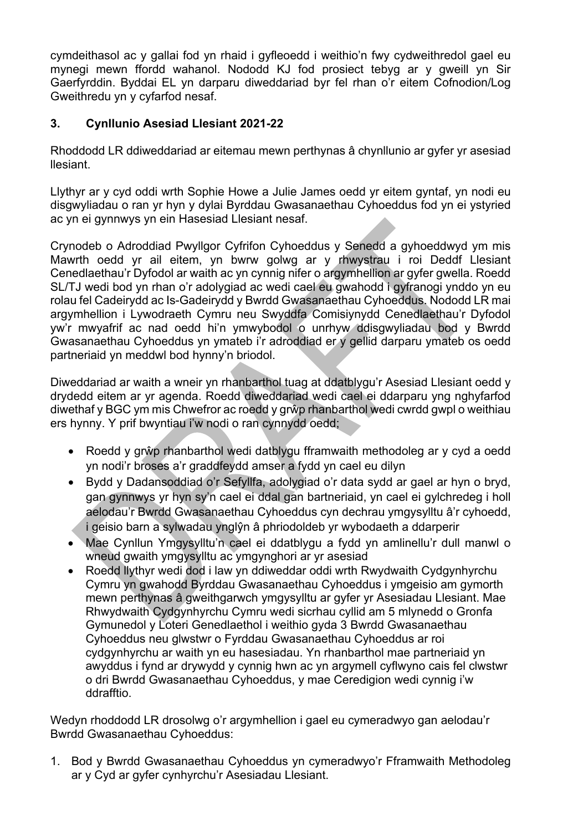cymdeithasol ac y gallai fod yn rhaid i gyfleoedd i weithio'n fwy cydweithredol gael eu mynegi mewn ffordd wahanol. Nododd KJ fod prosiect tebyg ar y gweill yn Sir Gaerfyrddin. Byddai EL yn darparu diweddariad byr fel rhan o'r eitem Cofnodion/Log Gweithredu yn y cyfarfod nesaf.

#### **3. Cynllunio Asesiad Llesiant 2021-22**

Rhoddodd LR ddiweddariad ar eitemau mewn perthynas â chynllunio ar gyfer yr asesiad llesiant.

Llythyr ar y cyd oddi wrth Sophie Howe a Julie James oedd yr eitem gyntaf, yn nodi eu disgwyliadau o ran yr hyn y dylai Byrddau Gwasanaethau Cyhoeddus fod yn ei ystyried ac yn ei gynnwys yn ein Hasesiad Llesiant nesaf.

Crynodeb o Adroddiad Pwyllgor Cyfrifon Cyhoeddus y Senedd a gyhoeddwyd ym mis Mawrth oedd yr ail eitem, yn bwrw golwg ar y rhwystrau i roi Deddf Llesiant Cenedlaethau'r Dyfodol ar waith ac yn cynnig nifer o argymhellion ar gyfer gwella. Roedd SL/TJ wedi bod yn rhan o'r adolygiad ac wedi cael eu gwahodd i gyfranogi ynddo yn eu rolau fel Cadeirydd ac Is-Gadeirydd y Bwrdd Gwasanaethau Cyhoeddus. Nododd LR mai argymhellion i Lywodraeth Cymru neu Swyddfa Comisiynydd Cenedlaethau'r Dyfodol yw'r mwyafrif ac nad oedd hi'n ymwybodol o unrhyw ddisgwyliadau bod y Bwrdd Gwasanaethau Cyhoeddus yn ymateb i'r adroddiad er y gellid darparu ymateb os oedd partneriaid yn meddwl bod hynny'n briodol.

Diweddariad ar waith a wneir yn rhanbarthol tuag at ddatblygu'r Asesiad Llesiant oedd y drydedd eitem ar yr agenda. Roedd diweddariad wedi cael ei ddarparu yng nghyfarfod diwethaf y BGC ym mis Chwefror ac roedd y grŵp rhanbarthol wedi cwrdd gwpl o weithiau ers hynny. Y prif bwyntiau i'w nodi o ran cynnydd oedd;

- Roedd y grŵp rhanbarthol wedi datblygu fframwaith methodoleg ar y cyd a oedd yn nodi'r broses a'r graddfeydd amser a fydd yn cael eu dilyn
- Bydd y Dadansoddiad o'r Sefyllfa, adolygiad o'r data sydd ar gael ar hyn o bryd, gan gynnwys yr hyn sy'n cael ei ddal gan bartneriaid, yn cael ei gylchredeg i holl aelodau'r Bwrdd Gwasanaethau Cyhoeddus cyn dechrau ymgysylltu â'r cyhoedd, i geisio barn a sylwadau ynglŷn â phriodoldeb yr wybodaeth a ddarperir
- Mae Cynllun Ymgysylltu'n cael ei ddatblygu a fydd yn amlinellu'r dull manwl o wneud gwaith ymgysylltu ac ymgynghori ar yr asesiad
- Roedd llythyr wedi dod i law yn ddiweddar oddi wrth Rwydwaith Cydgynhyrchu Cymru yn gwahodd Byrddau Gwasanaethau Cyhoeddus i ymgeisio am gymorth mewn perthynas â gweithgarwch ymgysylltu ar gyfer yr Asesiadau Llesiant. Mae Rhwydwaith Cydgynhyrchu Cymru wedi sicrhau cyllid am 5 mlynedd o Gronfa Gymunedol y Loteri Genedlaethol i weithio gyda 3 Bwrdd Gwasanaethau Cyhoeddus neu glwstwr o Fyrddau Gwasanaethau Cyhoeddus ar roi cydgynhyrchu ar waith yn eu hasesiadau. Yn rhanbarthol mae partneriaid yn awyddus i fynd ar drywydd y cynnig hwn ac yn argymell cyflwyno cais fel clwstwr o dri Bwrdd Gwasanaethau Cyhoeddus, y mae Ceredigion wedi cynnig i'w ddrafftio.

Wedyn rhoddodd LR drosolwg o'r argymhellion i gael eu cymeradwyo gan aelodau'r Bwrdd Gwasanaethau Cyhoeddus:

1. Bod y Bwrdd Gwasanaethau Cyhoeddus yn cymeradwyo'r Fframwaith Methodoleg ar y Cyd ar gyfer cynhyrchu'r Asesiadau Llesiant.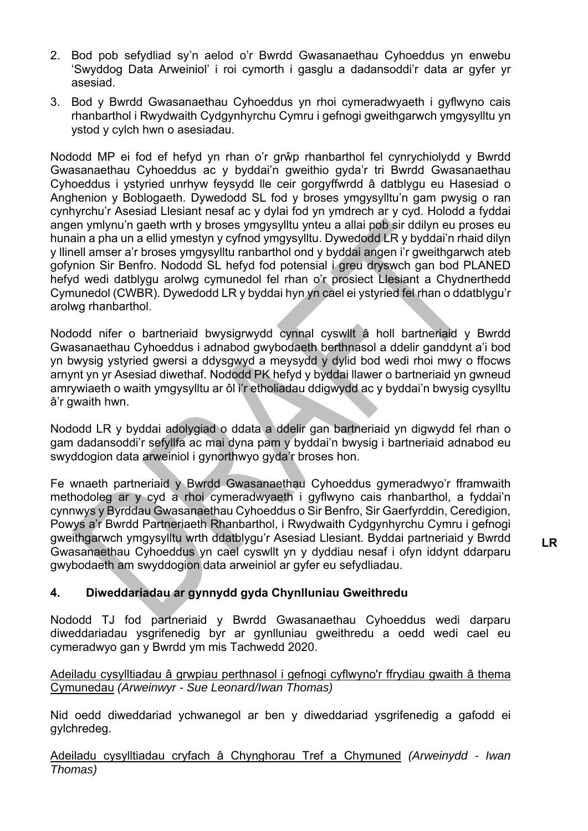- 2. Bod pob sefydliad sy'n aelod o'r Bwrdd Gwasanaethau Cyhoeddus yn enwebu 'Swyddog Data Arweiniol' i roi cymorth i gasglu a dadansoddi'r data ar gyfer yr asesiad.
- 3. Bod y Bwrdd Gwasanaethau Cyhoeddus yn rhoi cymeradwyaeth i gyflwyno cais rhanbarthol i Rwydwaith Cydgynhyrchu Cymru i gefnogi gweithgarwch ymgysylltu yn ystod y cylch hwn o asesiadau.

Nododd MP ei fod ef hefyd yn rhan o'r grŵp rhanbarthol fel cynrychiolydd y Bwrdd Gwasanaethau Cyhoeddus ac y byddai'n gweithio gyda'r tri Bwrdd Gwasanaethau Cyhoeddus i ystyried unrhyw feysydd lle ceir gorgyffwrdd â datblygu eu Hasesiad o Anghenion y Boblogaeth. Dywedodd SL fod y broses ymgysylltu'n gam pwysig o ran cynhyrchu'r Asesiad Llesiant nesaf ac y dylai fod yn ymdrech ar y cyd. Holodd a fyddai angen ymlynu'n gaeth wrth y broses ymgysylltu ynteu a allai pob sir ddilyn eu proses eu hunain a pha un a ellid ymestyn y cyfnod ymgysylltu. Dywedodd LR y byddai'n rhaid dilyn y llinell amser a'r broses ymgysylltu ranbarthol ond y byddai angen i'r gweithgarwch ateb gofynion Sir Benfro. Nododd SL hefyd fod potensial i greu dryswch gan bod PLANED hefyd wedi datblygu arolwg cymunedol fel rhan o'r prosiect Llesiant a Chydnerthedd Cymunedol (CWBR). Dywedodd LR y byddai hyn yn cael ei ystyried fel rhan o ddatblygu'r arolwg rhanbarthol.

Nododd nifer o bartneriaid bwysigrwydd cynnal cyswllt â holl bartneriaid y Bwrdd Gwasanaethau Cyhoeddus i adnabod gwybodaeth berthnasol a ddelir ganddynt a'i bod yn bwysig ystyried gwersi a ddysgwyd a meysydd y dylid bod wedi rhoi mwy o ffocws arnynt yn yr Asesiad diwethaf. Nododd PK hefyd y byddai llawer o bartneriaid yn gwneud amrywiaeth o waith ymgysylltu ar ôl i'r etholiadau ddigwydd ac y byddai'n bwysig cysylltu â'r gwaith hwn.

Nododd LR y byddai adolygiad o ddata a ddelir gan bartneriaid yn digwydd fel rhan o gam dadansoddi'r sefyllfa ac mai dyna pam y byddai'n bwysig i bartneriaid adnabod eu swyddogion data arweiniol i gynorthwyo gyda'r broses hon.

Fe wnaeth partneriaid y Bwrdd Gwasanaethau Cyhoeddus gymeradwyo'r fframwaith methodoleg ar y cyd a rhoi cymeradwyaeth i gyflwyno cais rhanbarthol, a fyddai'n cynnwys y Byrddau Gwasanaethau Cyhoeddus o Sir Benfro, Sir Gaerfyrddin, Ceredigion, Powys a'r Bwrdd Partneriaeth Rhanbarthol, i Rwydwaith Cydgynhyrchu Cymru i gefnogi gweithgarwch ymgysylltu wrth ddatblygu'r Asesiad Llesiant. Byddai partneriaid y Bwrdd Gwasanaethau Cyhoeddus yn cael cyswllt yn y dyddiau nesaf i ofyn iddynt ddarparu gwybodaeth am swyddogion data arweiniol ar gyfer eu sefydliadau.

#### **4. Diweddariadau ar gynnydd gyda Chynlluniau Gweithredu**

Nododd TJ fod partneriaid y Bwrdd Gwasanaethau Cyhoeddus wedi darparu diweddariadau ysgrifenedig byr ar gynlluniau gweithredu a oedd wedi cael eu cymeradwyo gan y Bwrdd ym mis Tachwedd 2020.

Adeiladu cysylltiadau â grwpiau perthnasol i gefnogi cyflwyno'r ffrydiau gwaith â thema Cymunedau *(Arweinwyr - Sue Leonard/Iwan Thomas)*

Nid oedd diweddariad ychwanegol ar ben y diweddariad ysgrifenedig a gafodd ei gylchredeg.

Adeiladu cysylltiadau cryfach â Chynghorau Tref a Chymuned *(Arweinydd - Iwan Thomas)*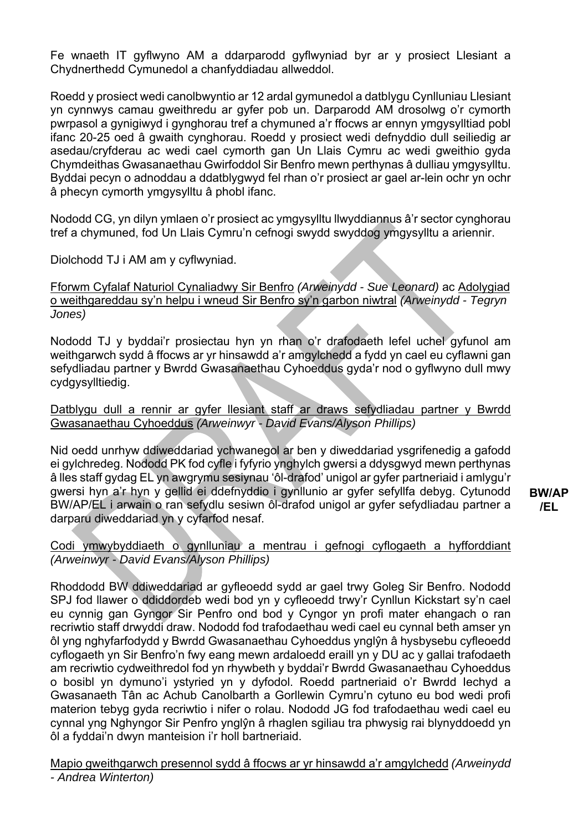Fe wnaeth IT gyflwyno AM a ddarparodd gyflwyniad byr ar y prosiect Llesiant a Chydnerthedd Cymunedol a chanfyddiadau allweddol.

Roedd y prosiect wedi canolbwyntio ar 12 ardal gymunedol a datblygu Cynlluniau Llesiant yn cynnwys camau gweithredu ar gyfer pob un. Darparodd AM drosolwg o'r cymorth pwrpasol a gynigiwyd i gynghorau tref a chymuned a'r ffocws ar ennyn ymgysylltiad pobl ifanc 20-25 oed â gwaith cynghorau. Roedd y prosiect wedi defnyddio dull seiliedig ar asedau/cryfderau ac wedi cael cymorth gan Un Llais Cymru ac wedi gweithio gyda Chymdeithas Gwasanaethau Gwirfoddol Sir Benfro mewn perthynas â dulliau ymgysylltu. Byddai pecyn o adnoddau a ddatblygwyd fel rhan o'r prosiect ar gael ar-lein ochr yn ochr â phecyn cymorth ymgysylltu â phobl ifanc.

Nododd CG, yn dilyn ymlaen o'r prosiect ac ymgysylltu llwyddiannus â'r sector cynghorau tref a chymuned, fod Un Llais Cymru'n cefnogi swydd swyddog ymgysylltu a ariennir.

Diolchodd TJ i AM am y cyflwyniad.

Fforwm Cyfalaf Naturiol Cynaliadwy Sir Benfro *(Arweinydd - Sue Leonard)* ac Adolygiad o weithgareddau sy'n helpu i wneud Sir Benfro sy'n garbon niwtral *(Arweinydd - Tegryn Jones)*

Nododd TJ y byddai'r prosiectau hyn yn rhan o'r drafodaeth lefel uchel gyfunol am weithgarwch sydd â ffocws ar yr hinsawdd a'r amgylchedd a fydd yn cael eu cyflawni gan sefydliadau partner y Bwrdd Gwasanaethau Cyhoeddus gyda'r nod o gyflwyno dull mwy cydgysylltiedig.

Datblygu dull a rennir ar gyfer llesiant staff ar draws sefydliadau partner y Bwrdd Gwasanaethau Cyhoeddus *(Arweinwyr - David Evans/Alyson Phillips)*

Nid oedd unrhyw ddiweddariad ychwanegol ar ben y diweddariad ysgrifenedig a gafodd ei gylchredeg. Nododd PK fod cyfle i fyfyrio ynghylch gwersi a ddysgwyd mewn perthynas â lles staff gydag EL yn awgrymu sesiynau 'ôl-drafod' unigol ar gyfer partneriaid i amlygu'r gwersi hyn a'r hyn y gellid ei ddefnyddio i gynllunio ar gyfer sefyllfa debyg. Cytunodd BW/AP/EL i arwain o ran sefydlu sesiwn ôl-drafod unigol ar gyfer sefydliadau partner a darparu diweddariad yn y cyfarfod nesaf.

**BW/AP /EL** 

Codi ymwybyddiaeth o gynlluniau a mentrau i gefnogi cyflogaeth a hyfforddiant *(Arweinwyr - David Evans/Alyson Phillips)*

Rhoddodd BW ddiweddariad ar gyfleoedd sydd ar gael trwy Goleg Sir Benfro. Nododd SPJ fod llawer o ddiddordeb wedi bod yn y cyfleoedd trwy'r Cynllun Kickstart sy'n cael eu cynnig gan Gyngor Sir Penfro ond bod y Cyngor yn profi mater ehangach o ran recriwtio staff drwyddi draw. Nododd fod trafodaethau wedi cael eu cynnal beth amser yn ôl yng nghyfarfodydd y Bwrdd Gwasanaethau Cyhoeddus ynglŷn â hysbysebu cyfleoedd cyflogaeth yn Sir Benfro'n fwy eang mewn ardaloedd eraill yn y DU ac y gallai trafodaeth am recriwtio cydweithredol fod yn rhywbeth y byddai'r Bwrdd Gwasanaethau Cyhoeddus o bosibl yn dymuno'i ystyried yn y dyfodol. Roedd partneriaid o'r Bwrdd Iechyd a Gwasanaeth Tân ac Achub Canolbarth a Gorllewin Cymru'n cytuno eu bod wedi profi materion tebyg gyda recriwtio i nifer o rolau. Nododd JG fod trafodaethau wedi cael eu cynnal yng Nghyngor Sir Penfro ynglŷn â rhaglen sgiliau tra phwysig rai blynyddoedd yn ôl a fyddai'n dwyn manteision i'r holl bartneriaid.

Mapio gweithgarwch presennol sydd â ffocws ar yr hinsawdd a'r amgylchedd *(Arweinydd - Andrea Winterton)*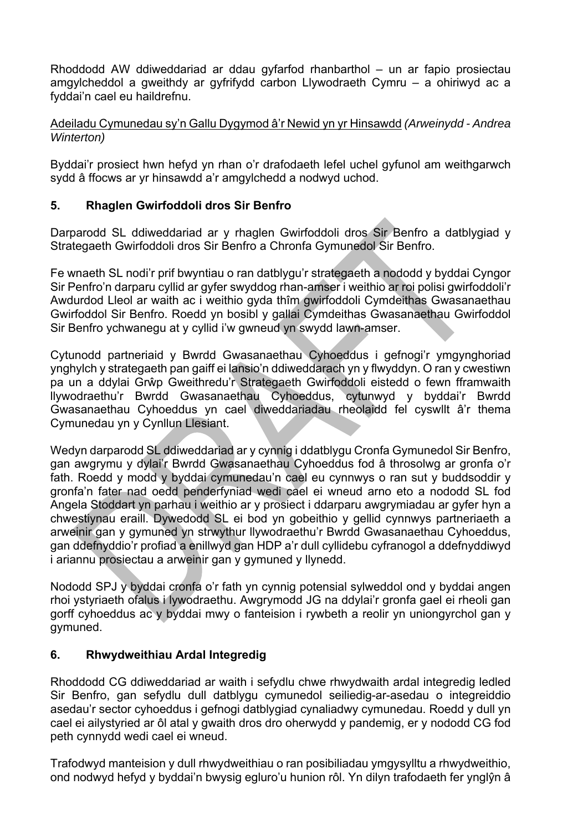Rhoddodd AW ddiweddariad ar ddau gyfarfod rhanbarthol – un ar fapio prosiectau amgylcheddol a gweithdy ar gyfrifydd carbon Llywodraeth Cymru – a ohiriwyd ac a fyddai'n cael eu haildrefnu.

Adeiladu Cymunedau sy'n Gallu Dygymod â'r Newid yn yr Hinsawdd *(Arweinydd - Andrea Winterton)*

Byddai'r prosiect hwn hefyd yn rhan o'r drafodaeth lefel uchel gyfunol am weithgarwch sydd â ffocws ar yr hinsawdd a'r amgylchedd a nodwyd uchod.

#### **5. Rhaglen Gwirfoddoli dros Sir Benfro**

Darparodd SL ddiweddariad ar y rhaglen Gwirfoddoli dros Sir Benfro a datblygiad y Strategaeth Gwirfoddoli dros Sir Benfro a Chronfa Gymunedol Sir Benfro.

Fe wnaeth SL nodi'r prif bwyntiau o ran datblygu'r strategaeth a nododd y byddai Cyngor Sir Penfro'n darparu cyllid ar gyfer swyddog rhan-amser i weithio ar roi polisi gwirfoddoli'r Awdurdod Lleol ar waith ac i weithio gyda thîm gwirfoddoli Cymdeithas Gwasanaethau Gwirfoddol Sir Benfro. Roedd yn bosibl y gallai Cymdeithas Gwasanaethau Gwirfoddol Sir Benfro ychwanegu at y cyllid i'w gwneud yn swydd lawn-amser.

Cytunodd partneriaid y Bwrdd Gwasanaethau Cyhoeddus i gefnogi'r ymgynghoriad ynghylch y strategaeth pan gaiff ei lansio'n ddiweddarach yn y flwyddyn. O ran y cwestiwn pa un a ddylai Grŵp Gweithredu'r Strategaeth Gwirfoddoli eistedd o fewn fframwaith llywodraethu'r Bwrdd Gwasanaethau Cyhoeddus, cytunwyd y byddai'r Bwrdd Gwasanaethau Cyhoeddus yn cael diweddariadau rheolaidd fel cyswllt â'r thema Cymunedau yn y Cynllun Llesiant.

Wedyn darparodd SL ddiweddariad ar y cynnig i ddatblygu Cronfa Gymunedol Sir Benfro, gan awgrymu y dylai'r Bwrdd Gwasanaethau Cyhoeddus fod â throsolwg ar gronfa o'r fath. Roedd y modd y byddai cymunedau'n cael eu cynnwys o ran sut y buddsoddir y gronfa'n fater nad oedd penderfyniad wedi cael ei wneud arno eto a nododd SL fod Angela Stoddart yn parhau i weithio ar y prosiect i ddarparu awgrymiadau ar gyfer hyn a chwestiynau eraill. Dywedodd SL ei bod yn gobeithio y gellid cynnwys partneriaeth a arweinir gan y gymuned yn strwythur llywodraethu'r Bwrdd Gwasanaethau Cyhoeddus, gan ddefnyddio'r profiad a enillwyd gan HDP a'r dull cyllidebu cyfranogol a ddefnyddiwyd i ariannu prosiectau a arweinir gan y gymuned y llynedd.

Nododd SPJ y byddai cronfa o'r fath yn cynnig potensial sylweddol ond y byddai angen rhoi ystyriaeth ofalus i lywodraethu. Awgrymodd JG na ddylai'r gronfa gael ei rheoli gan gorff cyhoeddus ac y byddai mwy o fanteision i rywbeth a reolir yn uniongyrchol gan y gymuned.

#### **6. Rhwydweithiau Ardal Integredig**

Rhoddodd CG ddiweddariad ar waith i sefydlu chwe rhwydwaith ardal integredig ledled Sir Benfro, gan sefydlu dull datblygu cymunedol seiliedig-ar-asedau o integreiddio asedau'r sector cyhoeddus i gefnogi datblygiad cynaliadwy cymunedau. Roedd y dull yn cael ei ailystyried ar ôl atal y gwaith dros dro oherwydd y pandemig, er y nododd CG fod peth cynnydd wedi cael ei wneud.

Trafodwyd manteision y dull rhwydweithiau o ran posibiliadau ymgysylltu a rhwydweithio, ond nodwyd hefyd y byddai'n bwysig egluro'u hunion rôl. Yn dilyn trafodaeth fer ynglŷn â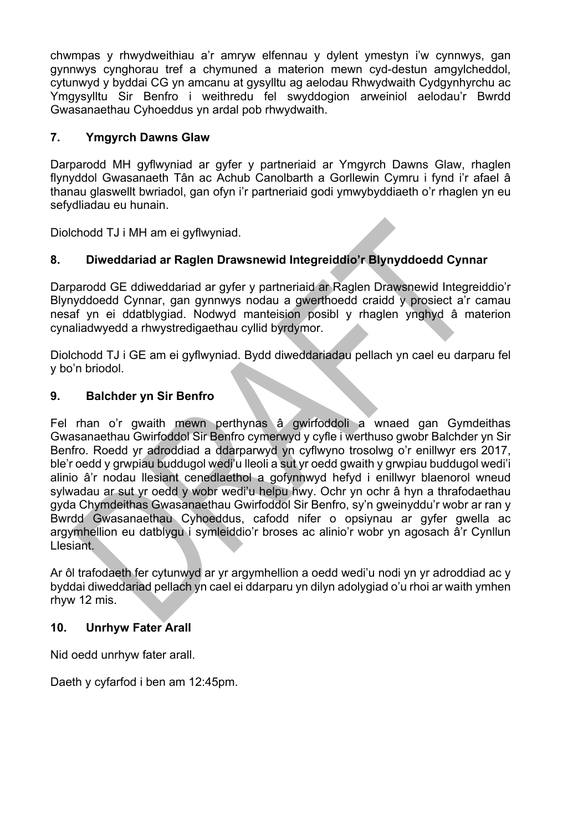chwmpas y rhwydweithiau a'r amryw elfennau y dylent ymestyn i'w cynnwys, gan gynnwys cynghorau tref a chymuned a materion mewn cyd-destun amgylcheddol, cytunwyd y byddai CG yn amcanu at gysylltu ag aelodau Rhwydwaith Cydgynhyrchu ac Ymgysylltu Sir Benfro i weithredu fel swyddogion arweiniol aelodau'r Bwrdd Gwasanaethau Cyhoeddus yn ardal pob rhwydwaith.

#### **7. Ymgyrch Dawns Glaw**

Darparodd MH gyflwyniad ar gyfer y partneriaid ar Ymgyrch Dawns Glaw, rhaglen flynyddol Gwasanaeth Tân ac Achub Canolbarth a Gorllewin Cymru i fynd i'r afael â thanau glaswellt bwriadol, gan ofyn i'r partneriaid godi ymwybyddiaeth o'r rhaglen yn eu sefydliadau eu hunain.

Diolchodd TJ i MH am ei gyflwyniad.

#### **8. Diweddariad ar Raglen Drawsnewid Integreiddio'r Blynyddoedd Cynnar**

Darparodd GE ddiweddariad ar gyfer y partneriaid ar Raglen Drawsnewid Integreiddio'r Blynyddoedd Cynnar, gan gynnwys nodau a gwerthoedd craidd y prosiect a'r camau nesaf yn ei ddatblygiad. Nodwyd manteision posibl y rhaglen ynghyd â materion cynaliadwyedd a rhwystredigaethau cyllid byrdymor.

Diolchodd TJ i GE am ei gyflwyniad. Bydd diweddariadau pellach yn cael eu darparu fel y bo'n briodol.

#### **9. Balchder yn Sir Benfro**

Fel rhan o'r gwaith mewn perthynas â gwirfoddoli a wnaed gan Gymdeithas Gwasanaethau Gwirfoddol Sir Benfro cymerwyd y cyfle i werthuso gwobr Balchder yn Sir Benfro. Roedd yr adroddiad a ddarparwyd yn cyflwyno trosolwg o'r enillwyr ers 2017, ble'r oedd y grwpiau buddugol wedi'u lleoli a sut yr oedd gwaith y grwpiau buddugol wedi'i alinio â'r nodau llesiant cenedlaethol a gofynnwyd hefyd i enillwyr blaenorol wneud sylwadau ar sut yr oedd y wobr wedi'u helpu hwy. Ochr yn ochr â hyn a thrafodaethau gyda Chymdeithas Gwasanaethau Gwirfoddol Sir Benfro, sy'n gweinyddu'r wobr ar ran y Bwrdd Gwasanaethau Cyhoeddus, cafodd nifer o opsiynau ar gyfer gwella ac argymhellion eu datblygu i symleiddio'r broses ac alinio'r wobr yn agosach â'r Cynllun Llesiant.

Ar ôl trafodaeth fer cytunwyd ar yr argymhellion a oedd wedi'u nodi yn yr adroddiad ac y byddai diweddariad pellach yn cael ei ddarparu yn dilyn adolygiad o'u rhoi ar waith ymhen rhyw 12 mis.

#### **10. Unrhyw Fater Arall**

Nid oedd unrhyw fater arall.

Daeth y cyfarfod i ben am 12:45pm.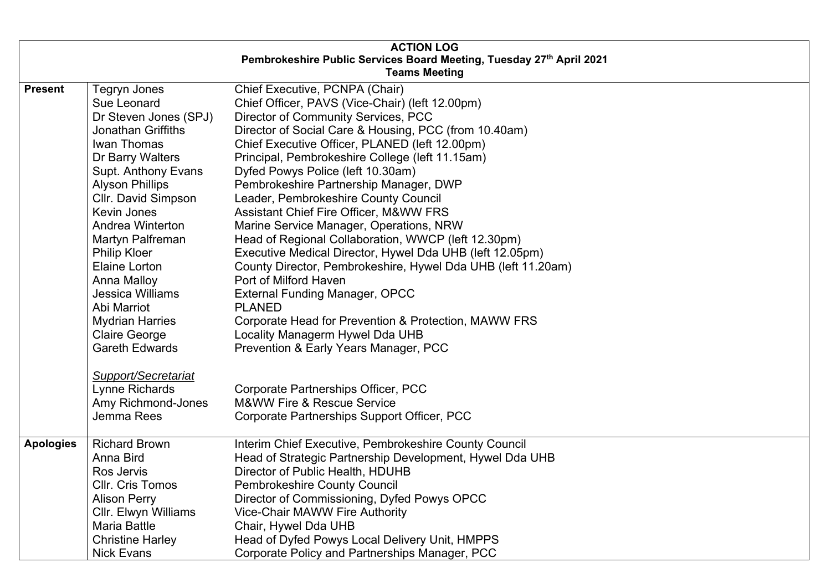|                                                                      |                           | <b>ACTION LOG</b>                                            |
|----------------------------------------------------------------------|---------------------------|--------------------------------------------------------------|
| Pembrokeshire Public Services Board Meeting, Tuesday 27th April 2021 |                           |                                                              |
|                                                                      |                           | <b>Teams Meeting</b>                                         |
| <b>Present</b>                                                       | <b>Tegryn Jones</b>       | Chief Executive, PCNPA (Chair)                               |
|                                                                      | Sue Leonard               | Chief Officer, PAVS (Vice-Chair) (left 12.00pm)              |
|                                                                      | Dr Steven Jones (SPJ)     | Director of Community Services, PCC                          |
|                                                                      | <b>Jonathan Griffiths</b> | Director of Social Care & Housing, PCC (from 10.40am)        |
|                                                                      | Iwan Thomas               | Chief Executive Officer, PLANED (left 12.00pm)               |
|                                                                      | Dr Barry Walters          | Principal, Pembrokeshire College (left 11.15am)              |
|                                                                      | Supt. Anthony Evans       | Dyfed Powys Police (left 10.30am)                            |
|                                                                      | <b>Alyson Phillips</b>    | Pembrokeshire Partnership Manager, DWP                       |
|                                                                      | Cllr. David Simpson       | Leader, Pembrokeshire County Council                         |
|                                                                      | Kevin Jones               | <b>Assistant Chief Fire Officer, M&amp;WW FRS</b>            |
|                                                                      | Andrea Winterton          | Marine Service Manager, Operations, NRW                      |
|                                                                      | Martyn Palfreman          | Head of Regional Collaboration, WWCP (left 12.30pm)          |
|                                                                      | <b>Philip Kloer</b>       | Executive Medical Director, Hywel Dda UHB (left 12.05pm)     |
|                                                                      | Elaine Lorton             | County Director, Pembrokeshire, Hywel Dda UHB (left 11.20am) |
|                                                                      | Anna Malloy               | Port of Milford Haven                                        |
|                                                                      | <b>Jessica Williams</b>   | <b>External Funding Manager, OPCC</b>                        |
|                                                                      | Abi Marriot               | <b>PLANED</b>                                                |
|                                                                      | <b>Mydrian Harries</b>    | Corporate Head for Prevention & Protection, MAWW FRS         |
|                                                                      | <b>Claire George</b>      | Locality Managerm Hywel Dda UHB                              |
|                                                                      | <b>Gareth Edwards</b>     | Prevention & Early Years Manager, PCC                        |
|                                                                      | Support/Secretariat       |                                                              |
|                                                                      | Lynne Richards            | Corporate Partnerships Officer, PCC                          |
|                                                                      | Amy Richmond-Jones        | <b>M&amp;WW Fire &amp; Rescue Service</b>                    |
|                                                                      | Jemma Rees                | Corporate Partnerships Support Officer, PCC                  |
|                                                                      |                           |                                                              |
| <b>Apologies</b>                                                     | <b>Richard Brown</b>      | Interim Chief Executive, Pembrokeshire County Council        |
|                                                                      | Anna Bird                 | Head of Strategic Partnership Development, Hywel Dda UHB     |
|                                                                      | Ros Jervis                | Director of Public Health, HDUHB                             |
|                                                                      | Cllr. Cris Tomos          | Pembrokeshire County Council                                 |
|                                                                      | <b>Alison Perry</b>       | Director of Commissioning, Dyfed Powys OPCC                  |
|                                                                      | Cllr. Elwyn Williams      | <b>Vice-Chair MAWW Fire Authority</b>                        |
|                                                                      | <b>Maria Battle</b>       | Chair, Hywel Dda UHB                                         |
|                                                                      | <b>Christine Harley</b>   | Head of Dyfed Powys Local Delivery Unit, HMPPS               |
|                                                                      | <b>Nick Evans</b>         | Corporate Policy and Partnerships Manager, PCC               |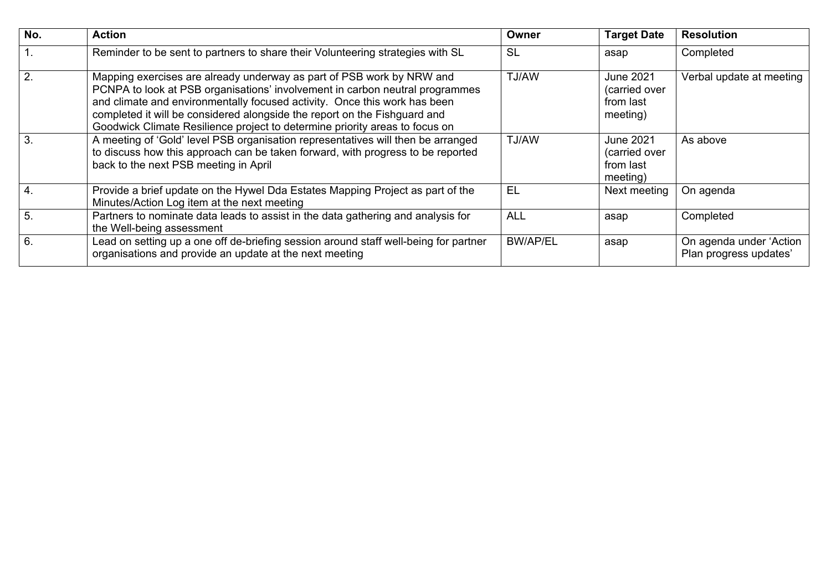| No.              | <b>Action</b>                                                                                                                                                                                                                                                                                                                                                                                  | Owner           | <b>Target Date</b>                                  | <b>Resolution</b>                                 |
|------------------|------------------------------------------------------------------------------------------------------------------------------------------------------------------------------------------------------------------------------------------------------------------------------------------------------------------------------------------------------------------------------------------------|-----------------|-----------------------------------------------------|---------------------------------------------------|
|                  | Reminder to be sent to partners to share their Volunteering strategies with SL                                                                                                                                                                                                                                                                                                                 | <b>SL</b>       | asap                                                | Completed                                         |
| 2.               | Mapping exercises are already underway as part of PSB work by NRW and<br>PCNPA to look at PSB organisations' involvement in carbon neutral programmes<br>and climate and environmentally focused activity. Once this work has been<br>completed it will be considered alongside the report on the Fishguard and<br>Goodwick Climate Resilience project to determine priority areas to focus on | TJ/AW           | June 2021<br>(carried over<br>from last<br>meeting) | Verbal update at meeting                          |
| 3.               | A meeting of 'Gold' level PSB organisation representatives will then be arranged<br>to discuss how this approach can be taken forward, with progress to be reported<br>back to the next PSB meeting in April                                                                                                                                                                                   | TJ/AW           | June 2021<br>(carried over<br>from last<br>meeting) | As above                                          |
| $\overline{4}$ . | Provide a brief update on the Hywel Dda Estates Mapping Project as part of the<br>Minutes/Action Log item at the next meeting                                                                                                                                                                                                                                                                  | EL              | Next meeting                                        | On agenda                                         |
| 5.               | Partners to nominate data leads to assist in the data gathering and analysis for<br>the Well-being assessment                                                                                                                                                                                                                                                                                  | <b>ALL</b>      | asap                                                | Completed                                         |
| 6.               | Lead on setting up a one off de-briefing session around staff well-being for partner<br>organisations and provide an update at the next meeting                                                                                                                                                                                                                                                | <b>BW/AP/EL</b> | asap                                                | On agenda under 'Action<br>Plan progress updates' |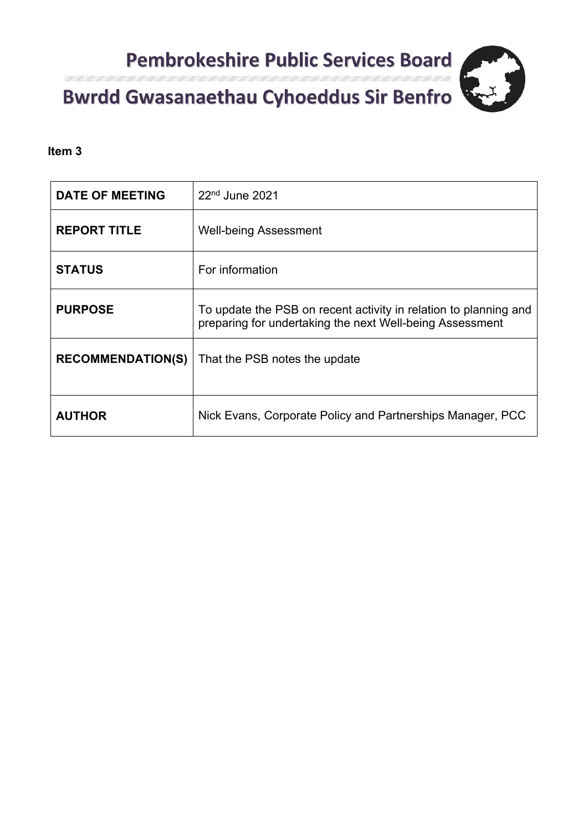

#### Itali 1 Alli 1 Alli 1 Alli 1 Alli 1 Consultation respon

#### **Item 3**

| <b>DATE OF MEETING</b>   | $22nd$ June 2021                                                                                                             |
|--------------------------|------------------------------------------------------------------------------------------------------------------------------|
| <b>REPORT TITLE</b>      | <b>Well-being Assessment</b>                                                                                                 |
| <b>STATUS</b>            | For information                                                                                                              |
| <b>PURPOSE</b>           | To update the PSB on recent activity in relation to planning and<br>preparing for undertaking the next Well-being Assessment |
| <b>RECOMMENDATION(S)</b> | That the PSB notes the update                                                                                                |
| <b>AUTHOR</b>            | Nick Evans, Corporate Policy and Partnerships Manager, PCC                                                                   |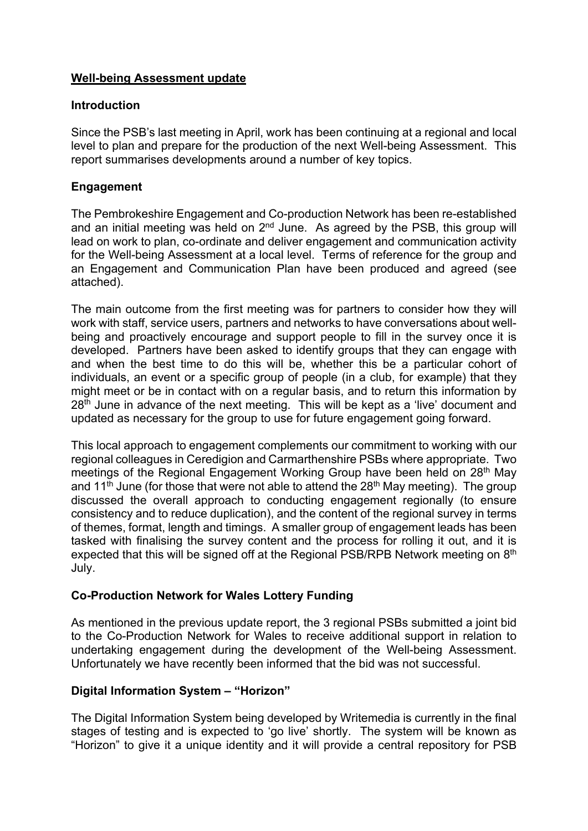#### **Well-being Assessment update**

#### **Introduction**

Since the PSB's last meeting in April, work has been continuing at a regional and local level to plan and prepare for the production of the next Well-being Assessment. This report summarises developments around a number of key topics.

#### **Engagement**

The Pembrokeshire Engagement and Co-production Network has been re-established and an initial meeting was held on  $2<sup>nd</sup>$  June. As agreed by the PSB, this group will lead on work to plan, co-ordinate and deliver engagement and communication activity for the Well-being Assessment at a local level. Terms of reference for the group and an Engagement and Communication Plan have been produced and agreed (see attached).

The main outcome from the first meeting was for partners to consider how they will work with staff, service users, partners and networks to have conversations about wellbeing and proactively encourage and support people to fill in the survey once it is developed. Partners have been asked to identify groups that they can engage with and when the best time to do this will be, whether this be a particular cohort of individuals, an event or a specific group of people (in a club, for example) that they might meet or be in contact with on a regular basis, and to return this information by 28<sup>th</sup> June in advance of the next meeting. This will be kept as a 'live' document and updated as necessary for the group to use for future engagement going forward.

This local approach to engagement complements our commitment to working with our regional colleagues in Ceredigion and Carmarthenshire PSBs where appropriate. Two meetings of the Regional Engagement Working Group have been held on 28<sup>th</sup> May and 11<sup>th</sup> June (for those that were not able to attend the  $28<sup>th</sup>$  May meeting). The group discussed the overall approach to conducting engagement regionally (to ensure consistency and to reduce duplication), and the content of the regional survey in terms of themes, format, length and timings. A smaller group of engagement leads has been tasked with finalising the survey content and the process for rolling it out, and it is expected that this will be signed off at the Regional PSB/RPB Network meeting on 8<sup>th</sup> July.

#### **Co-Production Network for Wales Lottery Funding**

As mentioned in the previous update report, the 3 regional PSBs submitted a joint bid to the Co-Production Network for Wales to receive additional support in relation to undertaking engagement during the development of the Well-being Assessment. Unfortunately we have recently been informed that the bid was not successful.

#### **Digital Information System – "Horizon"**

The Digital Information System being developed by Writemedia is currently in the final stages of testing and is expected to 'go live' shortly. The system will be known as "Horizon" to give it a unique identity and it will provide a central repository for PSB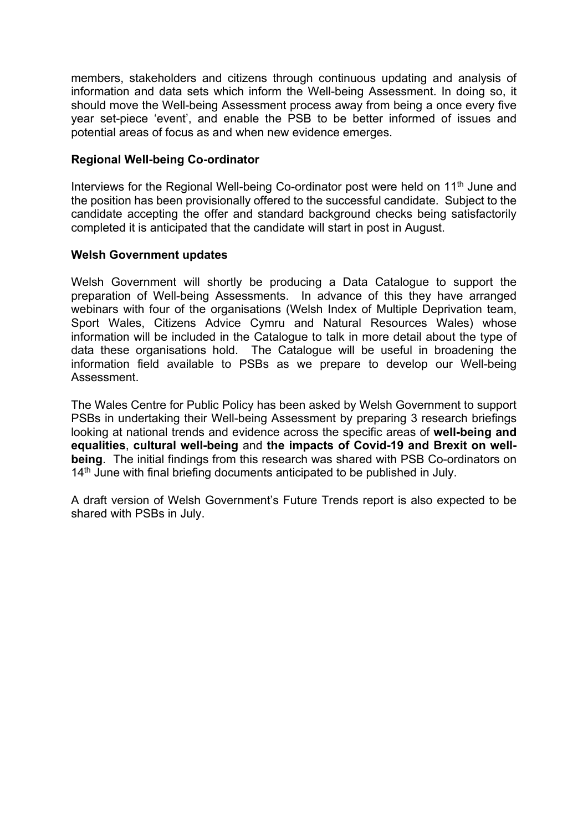members, stakeholders and citizens through continuous updating and analysis of information and data sets which inform the Well-being Assessment. In doing so, it should move the Well-being Assessment process away from being a once every five year set-piece 'event', and enable the PSB to be better informed of issues and potential areas of focus as and when new evidence emerges.

#### **Regional Well-being Co-ordinator**

Interviews for the Regional Well-being Co-ordinator post were held on 11<sup>th</sup> June and the position has been provisionally offered to the successful candidate. Subject to the candidate accepting the offer and standard background checks being satisfactorily completed it is anticipated that the candidate will start in post in August.

#### **Welsh Government updates**

Welsh Government will shortly be producing a Data Catalogue to support the preparation of Well-being Assessments. In advance of this they have arranged webinars with four of the organisations (Welsh Index of Multiple Deprivation team, Sport Wales, Citizens Advice Cymru and Natural Resources Wales) whose information will be included in the Catalogue to talk in more detail about the type of data these organisations hold. The Catalogue will be useful in broadening the information field available to PSBs as we prepare to develop our Well-being Assessment.

The Wales Centre for Public Policy has been asked by Welsh Government to support PSBs in undertaking their Well-being Assessment by preparing 3 research briefings looking at national trends and evidence across the specific areas of **well-being and equalities**, **cultural well-being** and **the impacts of Covid-19 and Brexit on wellbeing**. The initial findings from this research was shared with PSB Co-ordinators on 14<sup>th</sup> June with final briefing documents anticipated to be published in July.

A draft version of Welsh Government's Future Trends report is also expected to be shared with PSBs in July.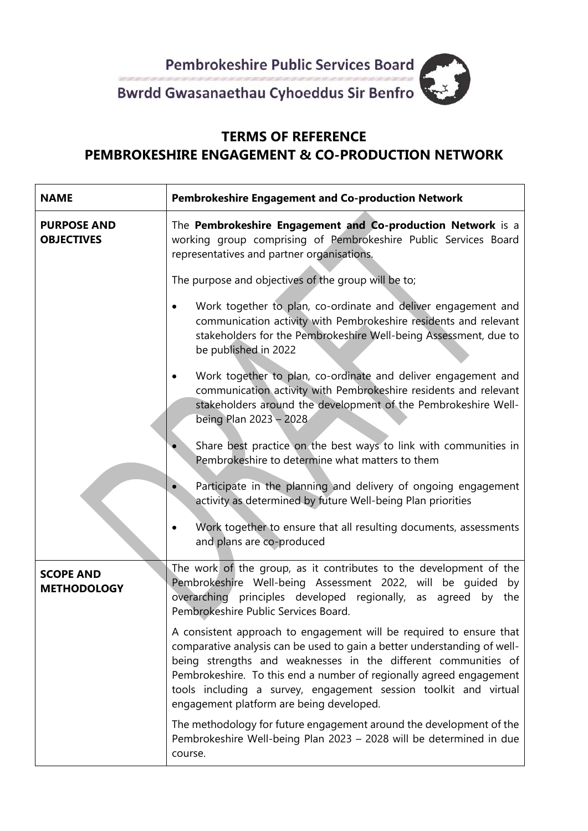

## **TERMS OF REFERENCE PEMBROKESHIRE ENGAGEMENT & CO-PRODUCTION NETWORK**

| <b>NAME</b>                             | <b>Pembrokeshire Engagement and Co-production Network</b>                                                                                                                                                                                                                                                                                                                                                |  |  |  |
|-----------------------------------------|----------------------------------------------------------------------------------------------------------------------------------------------------------------------------------------------------------------------------------------------------------------------------------------------------------------------------------------------------------------------------------------------------------|--|--|--|
| <b>PURPOSE AND</b><br><b>OBJECTIVES</b> | The Pembrokeshire Engagement and Co-production Network is a<br>working group comprising of Pembrokeshire Public Services Board<br>representatives and partner organisations.                                                                                                                                                                                                                             |  |  |  |
|                                         | The purpose and objectives of the group will be to;                                                                                                                                                                                                                                                                                                                                                      |  |  |  |
|                                         | Work together to plan, co-ordinate and deliver engagement and<br>$\bullet$<br>communication activity with Pembrokeshire residents and relevant<br>stakeholders for the Pembrokeshire Well-being Assessment, due to<br>be published in 2022                                                                                                                                                               |  |  |  |
|                                         | Work together to plan, co-ordinate and deliver engagement and<br>$\bullet$<br>communication activity with Pembrokeshire residents and relevant<br>stakeholders around the development of the Pembrokeshire Well-<br>being Plan 2023 - 2028                                                                                                                                                               |  |  |  |
|                                         | Share best practice on the best ways to link with communities in<br>Pembrokeshire to determine what matters to them                                                                                                                                                                                                                                                                                      |  |  |  |
|                                         | Participate in the planning and delivery of ongoing engagement<br>activity as determined by future Well-being Plan priorities                                                                                                                                                                                                                                                                            |  |  |  |
|                                         | Work together to ensure that all resulting documents, assessments<br>and plans are co-produced                                                                                                                                                                                                                                                                                                           |  |  |  |
| <b>SCOPE AND</b><br><b>METHODOLOGY</b>  | The work of the group, as it contributes to the development of the<br>Pembrokeshire Well-being Assessment 2022, will be guided<br>by<br>overarching principles developed regionally, as agreed by the<br>Pembrokeshire Public Services Board.                                                                                                                                                            |  |  |  |
|                                         | A consistent approach to engagement will be required to ensure that<br>comparative analysis can be used to gain a better understanding of well-<br>being strengths and weaknesses in the different communities of<br>Pembrokeshire. To this end a number of regionally agreed engagement<br>tools including a survey, engagement session toolkit and virtual<br>engagement platform are being developed. |  |  |  |
|                                         | The methodology for future engagement around the development of the<br>Pembrokeshire Well-being Plan 2023 - 2028 will be determined in due<br>course.                                                                                                                                                                                                                                                    |  |  |  |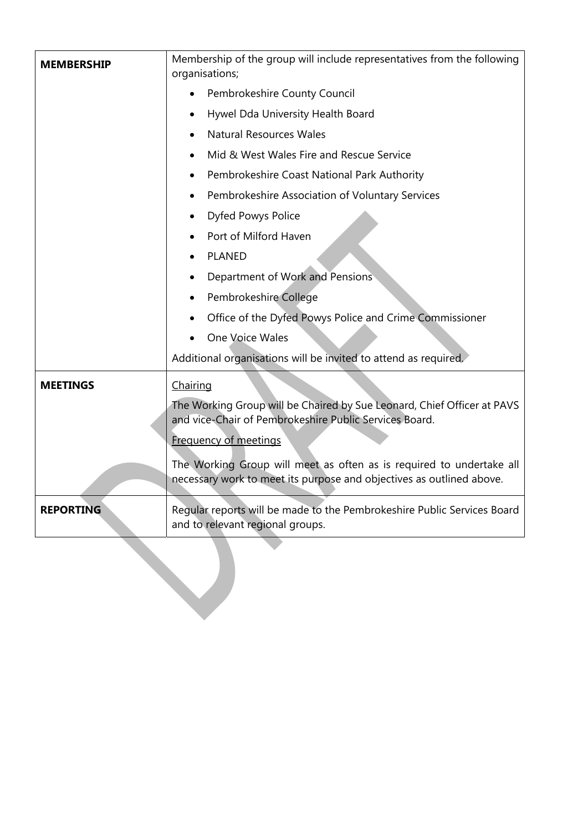| <b>MEMBERSHIP</b> | Membership of the group will include representatives from the following<br>organisations;                                                    |  |  |
|-------------------|----------------------------------------------------------------------------------------------------------------------------------------------|--|--|
|                   | Pembrokeshire County Council                                                                                                                 |  |  |
|                   | Hywel Dda University Health Board                                                                                                            |  |  |
|                   | <b>Natural Resources Wales</b>                                                                                                               |  |  |
|                   | Mid & West Wales Fire and Rescue Service                                                                                                     |  |  |
|                   | Pembrokeshire Coast National Park Authority                                                                                                  |  |  |
|                   | Pembrokeshire Association of Voluntary Services<br>٠                                                                                         |  |  |
|                   | Dyfed Powys Police                                                                                                                           |  |  |
|                   | Port of Milford Haven                                                                                                                        |  |  |
|                   | <b>PLANED</b>                                                                                                                                |  |  |
|                   | Department of Work and Pensions                                                                                                              |  |  |
|                   | Pembrokeshire College                                                                                                                        |  |  |
|                   | Office of the Dyfed Powys Police and Crime Commissioner                                                                                      |  |  |
|                   | One Voice Wales                                                                                                                              |  |  |
|                   | Additional organisations will be invited to attend as required.                                                                              |  |  |
| <b>MEETINGS</b>   | Chairing                                                                                                                                     |  |  |
|                   | The Working Group will be Chaired by Sue Leonard, Chief Officer at PAVS<br>and vice-Chair of Pembrokeshire Public Services Board.            |  |  |
|                   | <b>Frequency of meetings</b>                                                                                                                 |  |  |
|                   | The Working Group will meet as often as is required to undertake all<br>necessary work to meet its purpose and objectives as outlined above. |  |  |
| <b>REPORTING</b>  | Regular reports will be made to the Pembrokeshire Public Services Board<br>and to relevant regional groups.                                  |  |  |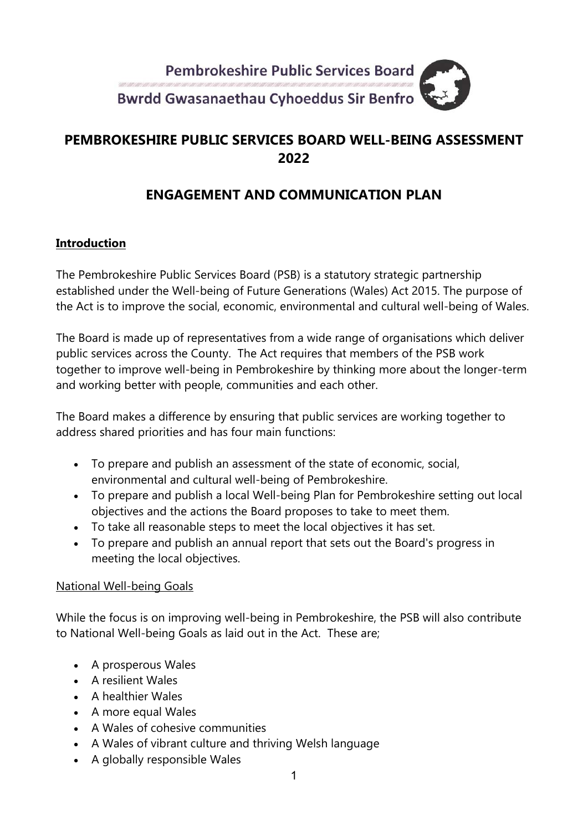

### **PEMBROKESHIRE PUBLIC SERVICES BOARD WELL-BEING ASSESSMENT 2022**

## **ENGAGEMENT AND COMMUNICATION PLAN**

#### **Introduction**

The Pembrokeshire Public Services Board (PSB) is a statutory strategic partnership established under the Well-being of Future Generations (Wales) Act 2015. The purpose of the Act is to improve the social, economic, environmental and cultural well-being of Wales.

The Board is made up of representatives from a wide range of organisations which deliver public services across the County. The Act requires that members of the PSB work together to improve well-being in Pembrokeshire by thinking more about the longer-term and working better with people, communities and each other.

The Board makes a difference by ensuring that public services are working together to address shared priorities and has four main functions:

- To prepare and publish an assessment of the state of economic, social, environmental and cultural well-being of Pembrokeshire.
- To prepare and publish a local Well-being Plan for Pembrokeshire setting out local objectives and the actions the Board proposes to take to meet them.
- To take all reasonable steps to meet the local objectives it has set.
- To prepare and publish an annual report that sets out the Board's progress in meeting the local objectives.

#### National Well-being Goals

While the focus is on improving well-being in Pembrokeshire, the PSB will also contribute to National Well-being Goals as laid out in the Act. These are;

- A prosperous Wales
- A resilient Wales
- A healthier Wales
- A more equal Wales
- A Wales of cohesive communities
- A Wales of vibrant culture and thriving Welsh language
- A globally responsible Wales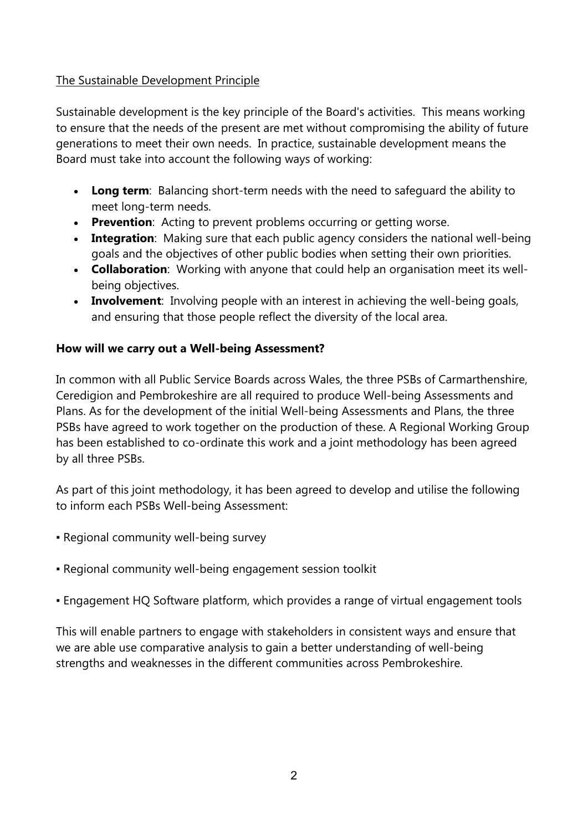#### The Sustainable Development Principle

Sustainable development is the key principle of the Board's activities. This means working to ensure that the needs of the present are met without compromising the ability of future generations to meet their own needs.In practice, sustainable development means the Board must take into account the following ways of working:

- **Long term**: Balancing short-term needs with the need to safeguard the ability to meet long-term needs.
- **Prevention**: Acting to prevent problems occurring or getting worse.
- **Integration**: Making sure that each public agency considers the national well-being goals and the objectives of other public bodies when setting their own priorities.
- **Collaboration**: Working with anyone that could help an organisation meet its wellbeing objectives.
- **Involvement**: Involving people with an interest in achieving the well-being goals, and ensuring that those people reflect the diversity of the local area.

#### **How will we carry out a Well-being Assessment?**

In common with all Public Service Boards across Wales, the three PSBs of Carmarthenshire, Ceredigion and Pembrokeshire are all required to produce Well-being Assessments and Plans. As for the development of the initial Well-being Assessments and Plans, the three PSBs have agreed to work together on the production of these. A Regional Working Group has been established to co-ordinate this work and a joint methodology has been agreed by all three PSBs.

As part of this joint methodology, it has been agreed to develop and utilise the following to inform each PSBs Well-being Assessment:

- Regional community well-being survey
- Regional community well-being engagement session toolkit
- Engagement HQ Software platform, which provides a range of virtual engagement tools

This will enable partners to engage with stakeholders in consistent ways and ensure that we are able use comparative analysis to gain a better understanding of well-being strengths and weaknesses in the different communities across Pembrokeshire.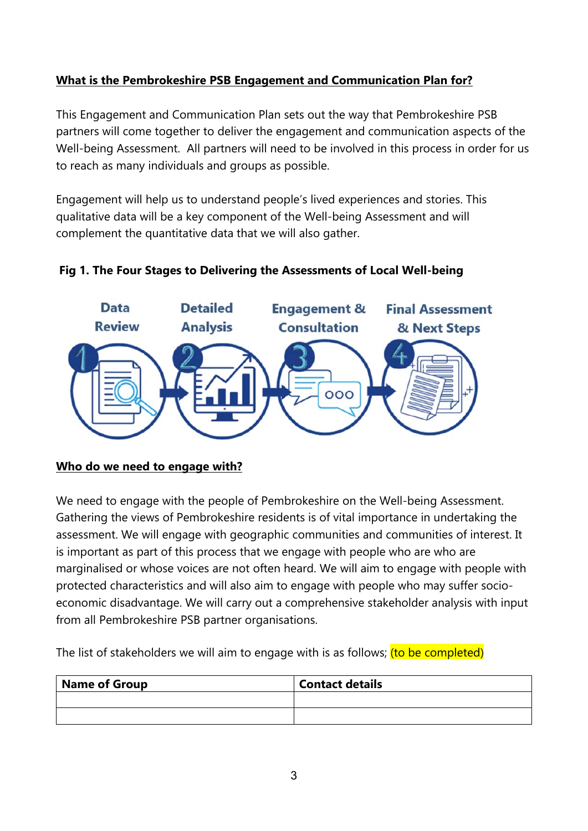#### **What is the Pembrokeshire PSB Engagement and Communication Plan for?**

This Engagement and Communication Plan sets out the way that Pembrokeshire PSB partners will come together to deliver the engagement and communication aspects of the Well-being Assessment. All partners will need to be involved in this process in order for us to reach as many individuals and groups as possible.

Engagement will help us to understand people's lived experiences and stories. This qualitative data will be a key component of the Well-being Assessment and will complement the quantitative data that we will also gather.



#### **Fig 1. The Four Stages to Delivering the Assessments of Local Well-being**

#### **Who do we need to engage with?**

We need to engage with the people of Pembrokeshire on the Well-being Assessment. Gathering the views of Pembrokeshire residents is of vital importance in undertaking the assessment. We will engage with geographic communities and communities of interest. It is important as part of this process that we engage with people who are who are marginalised or whose voices are not often heard. We will aim to engage with people with protected characteristics and will also aim to engage with people who may suffer socioeconomic disadvantage. We will carry out a comprehensive stakeholder analysis with input from all Pembrokeshire PSB partner organisations.

The list of stakeholders we will aim to engage with is as follows; (to be completed)

| Name of Group | <b>Contact details</b> |
|---------------|------------------------|
|               |                        |
|               |                        |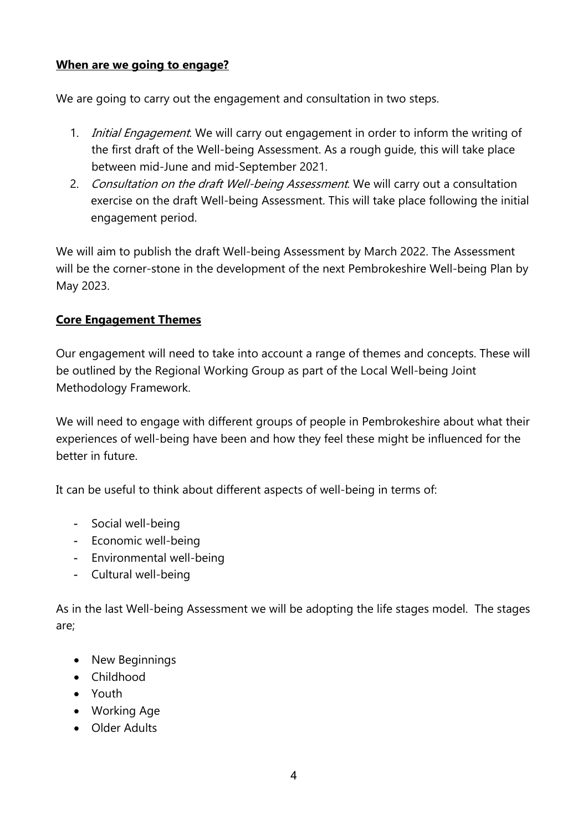#### **When are we going to engage?**

We are going to carry out the engagement and consultation in two steps.

- 1. *Initial Engagement*. We will carry out engagement in order to inform the writing of the first draft of the Well-being Assessment. As a rough guide, this will take place between mid-June and mid-September 2021.
- 2. Consultation on the draft Well-being Assessment. We will carry out a consultation exercise on the draft Well-being Assessment. This will take place following the initial engagement period.

We will aim to publish the draft Well-being Assessment by March 2022. The Assessment will be the corner-stone in the development of the next Pembrokeshire Well-being Plan by May 2023.

#### **Core Engagement Themes**

Our engagement will need to take into account a range of themes and concepts. These will be outlined by the Regional Working Group as part of the Local Well-being Joint Methodology Framework.

We will need to engage with different groups of people in Pembrokeshire about what their experiences of well-being have been and how they feel these might be influenced for the better in future.

It can be useful to think about different aspects of well-being in terms of:

- Social well-being
- Economic well-being
- Environmental well-being
- Cultural well-being

As in the last Well-being Assessment we will be adopting the life stages model. The stages are;

- New Beginnings
- Childhood
- Youth
- Working Age
- Older Adults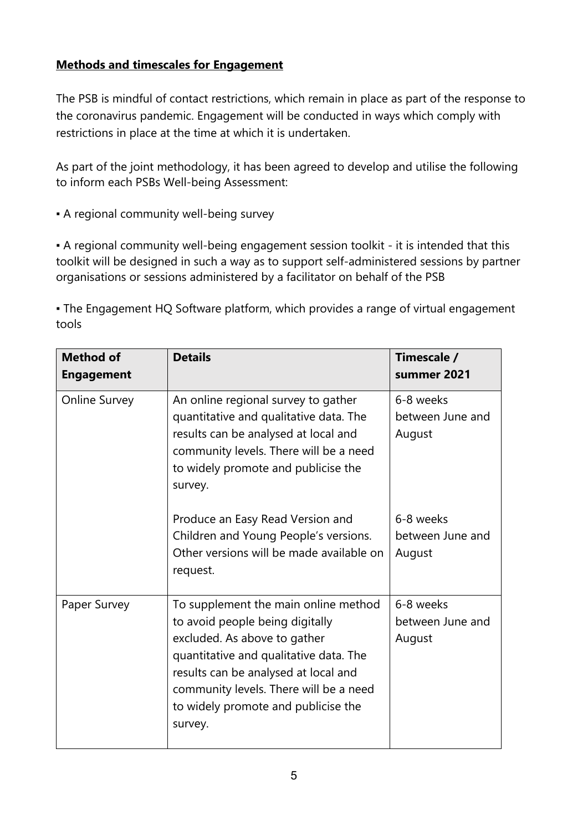#### **Methods and timescales for Engagement**

The PSB is mindful of contact restrictions, which remain in place as part of the response to the coronavirus pandemic. Engagement will be conducted in ways which comply with restrictions in place at the time at which it is undertaken.

As part of the joint methodology, it has been agreed to develop and utilise the following to inform each PSBs Well-being Assessment:

**• A regional community well-being survey** 

▪ A regional community well-being engagement session toolkit - it is intended that this toolkit will be designed in such a way as to support self-administered sessions by partner organisations or sessions administered by a facilitator on behalf of the PSB

• The Engagement HQ Software platform, which provides a range of virtual engagement tools

| <b>Method of</b><br><b>Engagement</b> | <b>Details</b>                                                                                                                                                                                                                                                                        | Timescale /<br>summer 2021              |
|---------------------------------------|---------------------------------------------------------------------------------------------------------------------------------------------------------------------------------------------------------------------------------------------------------------------------------------|-----------------------------------------|
| <b>Online Survey</b>                  | An online regional survey to gather<br>quantitative and qualitative data. The<br>results can be analysed at local and<br>community levels. There will be a need<br>to widely promote and publicise the<br>survey.                                                                     | 6-8 weeks<br>between June and<br>August |
|                                       | Produce an Easy Read Version and<br>Children and Young People's versions.<br>Other versions will be made available on<br>request.                                                                                                                                                     | 6-8 weeks<br>between June and<br>August |
| Paper Survey                          | To supplement the main online method<br>to avoid people being digitally<br>excluded. As above to gather<br>quantitative and qualitative data. The<br>results can be analysed at local and<br>community levels. There will be a need<br>to widely promote and publicise the<br>survey. | 6-8 weeks<br>between June and<br>August |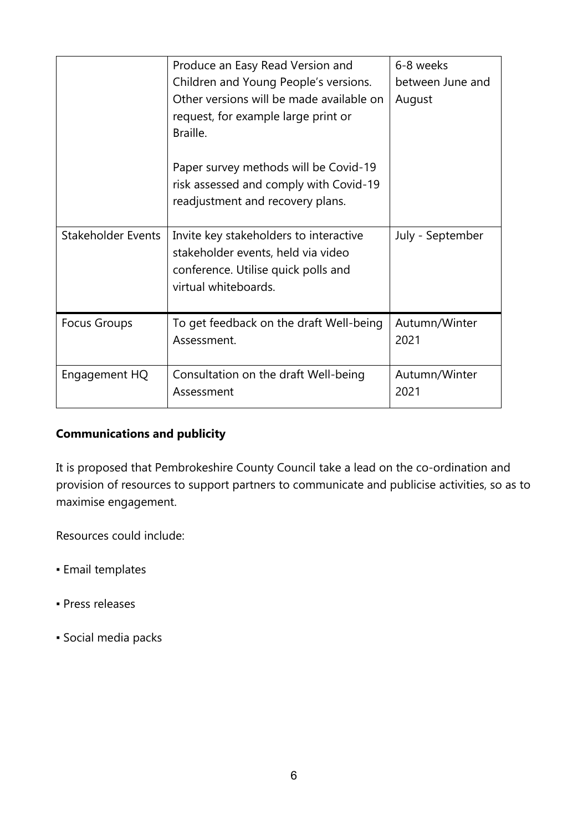|                           | Produce an Easy Read Version and         | 6-8 weeks        |
|---------------------------|------------------------------------------|------------------|
|                           | Children and Young People's versions.    | between June and |
|                           | Other versions will be made available on | August           |
|                           | request, for example large print or      |                  |
|                           | Braille.                                 |                  |
|                           |                                          |                  |
|                           | Paper survey methods will be Covid-19    |                  |
|                           | risk assessed and comply with Covid-19   |                  |
|                           | readjustment and recovery plans.         |                  |
|                           |                                          |                  |
| <b>Stakeholder Events</b> | Invite key stakeholders to interactive   | July - September |
|                           | stakeholder events, held via video       |                  |
|                           | conference. Utilise quick polls and      |                  |
|                           | virtual whiteboards.                     |                  |
|                           |                                          |                  |
| <b>Focus Groups</b>       | To get feedback on the draft Well-being  | Autumn/Winter    |
|                           | Assessment.                              | 2021             |
|                           |                                          |                  |
| Engagement HQ             | Consultation on the draft Well-being     | Autumn/Winter    |
|                           | Assessment                               | 2021             |
|                           |                                          |                  |

#### **Communications and publicity**

It is proposed that Pembrokeshire County Council take a lead on the co-ordination and provision of resources to support partners to communicate and publicise activities, so as to maximise engagement.

Resources could include:

- Email templates
- Press releases
- Social media packs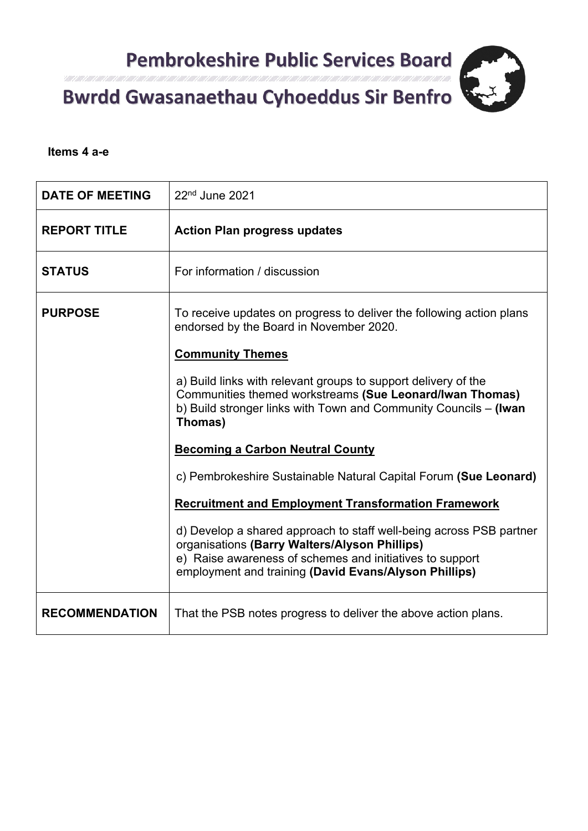

#### Itali 1 Alli 1 Alli 1 Alli 1 Alli 1 Consultation respon

#### **Items 4 a-e**

| <b>DATE OF MEETING</b> | 22 <sup>nd</sup> June 2021                                                                                                                                                                                                                |  |
|------------------------|-------------------------------------------------------------------------------------------------------------------------------------------------------------------------------------------------------------------------------------------|--|
| <b>REPORT TITLE</b>    | <b>Action Plan progress updates</b>                                                                                                                                                                                                       |  |
| <b>STATUS</b>          | For information / discussion                                                                                                                                                                                                              |  |
| <b>PURPOSE</b>         | To receive updates on progress to deliver the following action plans<br>endorsed by the Board in November 2020.                                                                                                                           |  |
|                        | <b>Community Themes</b>                                                                                                                                                                                                                   |  |
|                        | a) Build links with relevant groups to support delivery of the<br>Communities themed workstreams (Sue Leonard/Iwan Thomas)<br>b) Build stronger links with Town and Community Councils - (Iwan<br>Thomas)                                 |  |
|                        | <b>Becoming a Carbon Neutral County</b>                                                                                                                                                                                                   |  |
|                        | c) Pembrokeshire Sustainable Natural Capital Forum (Sue Leonard)                                                                                                                                                                          |  |
|                        | <b>Recruitment and Employment Transformation Framework</b>                                                                                                                                                                                |  |
|                        | d) Develop a shared approach to staff well-being across PSB partner<br>organisations (Barry Walters/Alyson Phillips)<br>e) Raise awareness of schemes and initiatives to support<br>employment and training (David Evans/Alyson Phillips) |  |
| <b>RECOMMENDATION</b>  | That the PSB notes progress to deliver the above action plans.                                                                                                                                                                            |  |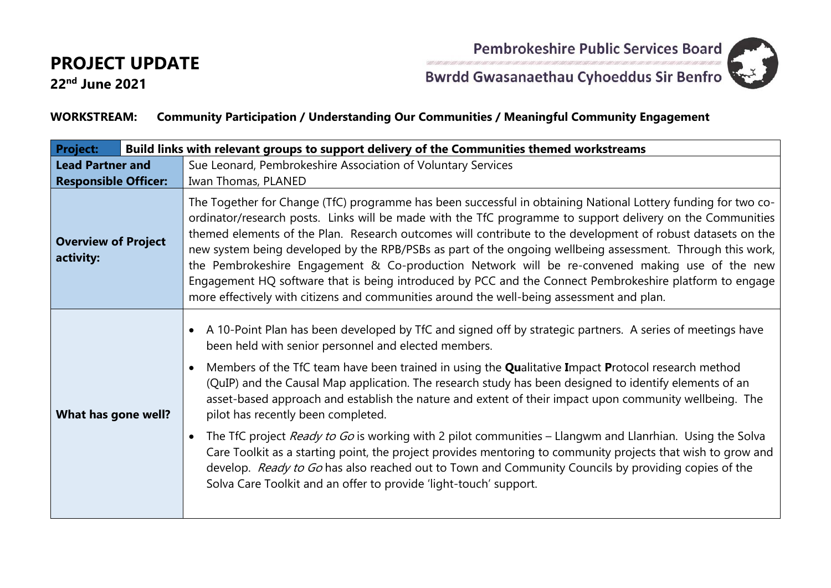

**22nd June 2021**

Pembrokeshire Public Services Board<br>Bwrdd Gwasanaethau Cyhoeddus Sir Benfro

#### **WORKSTREAM: Community Participation / Understanding Our Communities / Meaningful Community Engagement**

| <b>Project:</b><br>Build links with relevant groups to support delivery of the Communities themed workstreams |                                                                                                                                                                                                                                                                                                                                                                                                                                                                                                                                                                                                                                                                                                                                                                                                                                                                                                                                           |  |  |
|---------------------------------------------------------------------------------------------------------------|-------------------------------------------------------------------------------------------------------------------------------------------------------------------------------------------------------------------------------------------------------------------------------------------------------------------------------------------------------------------------------------------------------------------------------------------------------------------------------------------------------------------------------------------------------------------------------------------------------------------------------------------------------------------------------------------------------------------------------------------------------------------------------------------------------------------------------------------------------------------------------------------------------------------------------------------|--|--|
| <b>Lead Partner and</b><br><b>Responsible Officer:</b>                                                        | Sue Leonard, Pembrokeshire Association of Voluntary Services<br>Iwan Thomas, PLANED                                                                                                                                                                                                                                                                                                                                                                                                                                                                                                                                                                                                                                                                                                                                                                                                                                                       |  |  |
| <b>Overview of Project</b><br>activity:                                                                       | The Together for Change (TfC) programme has been successful in obtaining National Lottery funding for two co-<br>ordinator/research posts. Links will be made with the TfC programme to support delivery on the Communities<br>themed elements of the Plan. Research outcomes will contribute to the development of robust datasets on the<br>new system being developed by the RPB/PSBs as part of the ongoing wellbeing assessment. Through this work,<br>the Pembrokeshire Engagement & Co-production Network will be re-convened making use of the new<br>Engagement HQ software that is being introduced by PCC and the Connect Pembrokeshire platform to engage<br>more effectively with citizens and communities around the well-being assessment and plan.                                                                                                                                                                        |  |  |
| What has gone well?                                                                                           | A 10-Point Plan has been developed by TfC and signed off by strategic partners. A series of meetings have<br>been held with senior personnel and elected members.<br>Members of the TfC team have been trained in using the Qualitative Impact Protocol research method<br>(QuIP) and the Causal Map application. The research study has been designed to identify elements of an<br>asset-based approach and establish the nature and extent of their impact upon community wellbeing. The<br>pilot has recently been completed.<br>The TfC project Ready to Go is working with 2 pilot communities – Llangwm and Llanrhian. Using the Solva<br>Care Toolkit as a starting point, the project provides mentoring to community projects that wish to grow and<br>develop. Ready to Go has also reached out to Town and Community Councils by providing copies of the<br>Solva Care Toolkit and an offer to provide 'light-touch' support. |  |  |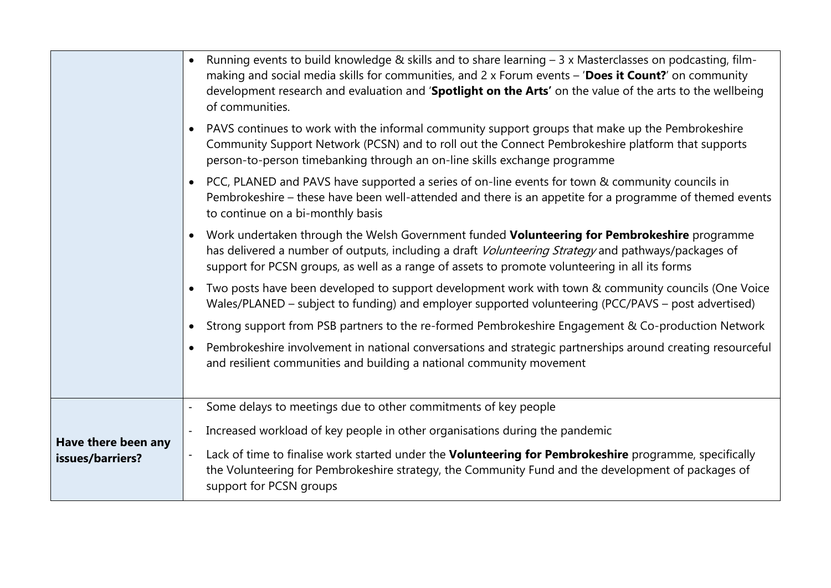|                                         | Running events to build knowledge & skills and to share learning - 3 x Masterclasses on podcasting, film-<br>making and social media skills for communities, and $2 \times$ Forum events $-$ 'Does it Count?' on community<br>development research and evaluation and 'Spotlight on the Arts' on the value of the arts to the wellbeing<br>of communities. |
|-----------------------------------------|------------------------------------------------------------------------------------------------------------------------------------------------------------------------------------------------------------------------------------------------------------------------------------------------------------------------------------------------------------|
|                                         | PAVS continues to work with the informal community support groups that make up the Pembrokeshire<br>Community Support Network (PCSN) and to roll out the Connect Pembrokeshire platform that supports<br>person-to-person timebanking through an on-line skills exchange programme                                                                         |
|                                         | PCC, PLANED and PAVS have supported a series of on-line events for town & community councils in<br>Pembrokeshire - these have been well-attended and there is an appetite for a programme of themed events<br>to continue on a bi-monthly basis                                                                                                            |
|                                         | Work undertaken through the Welsh Government funded Volunteering for Pembrokeshire programme<br>has delivered a number of outputs, including a draft Volunteering Strategy and pathways/packages of<br>support for PCSN groups, as well as a range of assets to promote volunteering in all its forms                                                      |
|                                         | Two posts have been developed to support development work with town & community councils (One Voice<br>Wales/PLANED – subject to funding) and employer supported volunteering (PCC/PAVS – post advertised)                                                                                                                                                 |
|                                         | Strong support from PSB partners to the re-formed Pembrokeshire Engagement & Co-production Network                                                                                                                                                                                                                                                         |
|                                         | Pembrokeshire involvement in national conversations and strategic partnerships around creating resourceful<br>and resilient communities and building a national community movement                                                                                                                                                                         |
|                                         | Some delays to meetings due to other commitments of key people                                                                                                                                                                                                                                                                                             |
|                                         | Increased workload of key people in other organisations during the pandemic<br>$\blacksquare$                                                                                                                                                                                                                                                              |
| Have there been any<br>issues/barriers? | Lack of time to finalise work started under the Volunteering for Pembrokeshire programme, specifically<br>the Volunteering for Pembrokeshire strategy, the Community Fund and the development of packages of<br>support for PCSN groups                                                                                                                    |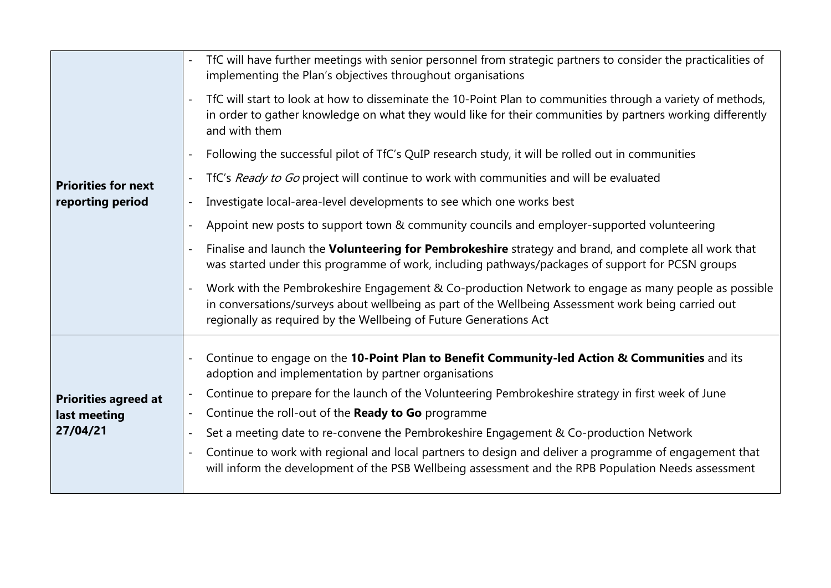|                             | TfC will have further meetings with senior personnel from strategic partners to consider the practicalities of<br>implementing the Plan's objectives throughout organisations                                                                                                                     |
|-----------------------------|---------------------------------------------------------------------------------------------------------------------------------------------------------------------------------------------------------------------------------------------------------------------------------------------------|
|                             | TfC will start to look at how to disseminate the 10-Point Plan to communities through a variety of methods,<br>in order to gather knowledge on what they would like for their communities by partners working differently<br>and with them                                                        |
|                             | Following the successful pilot of TfC's QuIP research study, it will be rolled out in communities                                                                                                                                                                                                 |
| <b>Priorities for next</b>  | TfC's Ready to Go project will continue to work with communities and will be evaluated                                                                                                                                                                                                            |
| reporting period            | Investigate local-area-level developments to see which one works best<br>$\blacksquare$                                                                                                                                                                                                           |
|                             | Appoint new posts to support town & community councils and employer-supported volunteering<br>$\blacksquare$                                                                                                                                                                                      |
|                             | Finalise and launch the Volunteering for Pembrokeshire strategy and brand, and complete all work that<br>was started under this programme of work, including pathways/packages of support for PCSN groups                                                                                         |
|                             | Work with the Pembrokeshire Engagement & Co-production Network to engage as many people as possible<br>$\blacksquare$<br>in conversations/surveys about wellbeing as part of the Wellbeing Assessment work being carried out<br>regionally as required by the Wellbeing of Future Generations Act |
|                             | Continue to engage on the 10-Point Plan to Benefit Community-led Action & Communities and its<br>adoption and implementation by partner organisations                                                                                                                                             |
| <b>Priorities agreed at</b> | Continue to prepare for the launch of the Volunteering Pembrokeshire strategy in first week of June                                                                                                                                                                                               |
| last meeting                | Continue the roll-out of the Ready to Go programme<br>$\blacksquare$                                                                                                                                                                                                                              |
| 27/04/21                    | Set a meeting date to re-convene the Pembrokeshire Engagement & Co-production Network<br>$\blacksquare$                                                                                                                                                                                           |
|                             | Continue to work with regional and local partners to design and deliver a programme of engagement that<br>will inform the development of the PSB Wellbeing assessment and the RPB Population Needs assessment                                                                                     |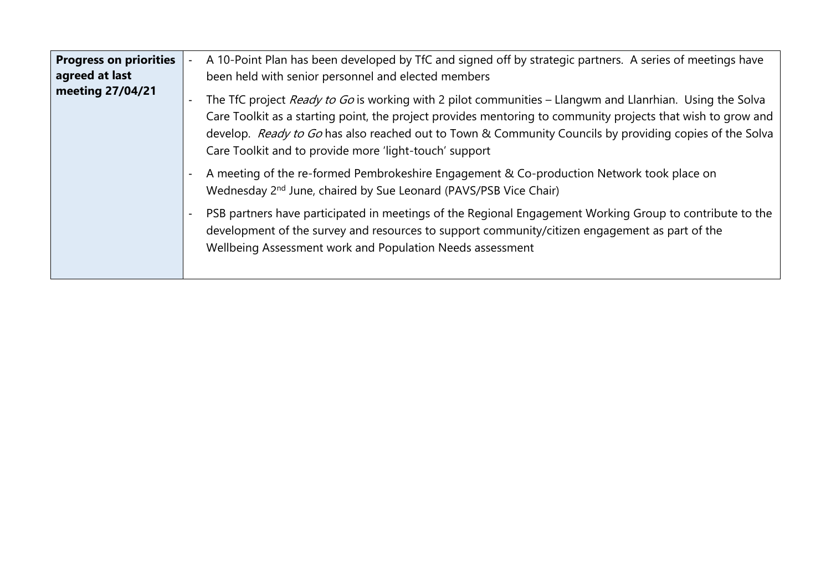| <b>Progress on priorities</b><br>agreed at last | A 10-Point Plan has been developed by TfC and signed off by strategic partners. A series of meetings have<br>been held with senior personnel and elected members                                                                                                                                                                                                                              |  |
|-------------------------------------------------|-----------------------------------------------------------------------------------------------------------------------------------------------------------------------------------------------------------------------------------------------------------------------------------------------------------------------------------------------------------------------------------------------|--|
| meeting 27/04/21                                | The TfC project Ready to Go is working with 2 pilot communities - Llangwm and Llanrhian. Using the Solva<br>Care Toolkit as a starting point, the project provides mentoring to community projects that wish to grow and<br>develop. Ready to Go has also reached out to Town & Community Councils by providing copies of the Solva<br>Care Toolkit and to provide more 'light-touch' support |  |
|                                                 | A meeting of the re-formed Pembrokeshire Engagement & Co-production Network took place on<br>Wednesday 2 <sup>nd</sup> June, chaired by Sue Leonard (PAVS/PSB Vice Chair)                                                                                                                                                                                                                     |  |
|                                                 | PSB partners have participated in meetings of the Regional Engagement Working Group to contribute to the<br>development of the survey and resources to support community/citizen engagement as part of the<br>Wellbeing Assessment work and Population Needs assessment                                                                                                                       |  |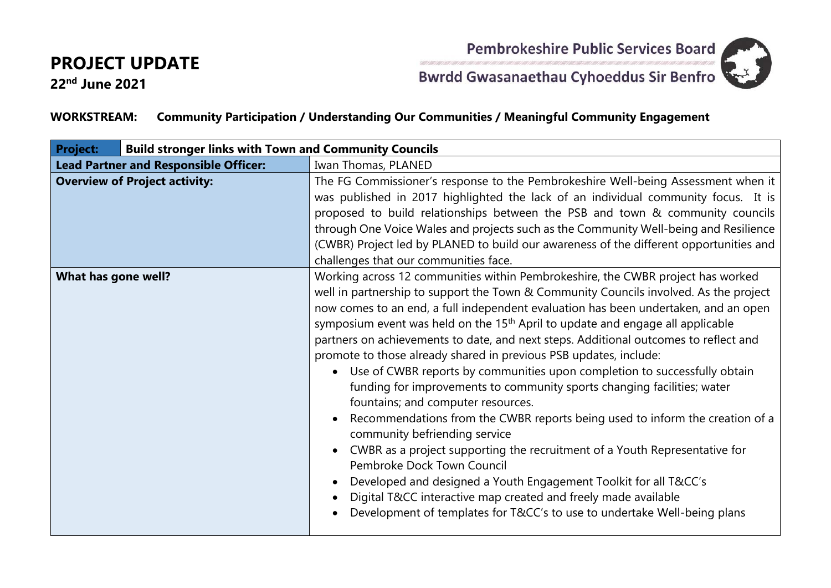**22nd June 2021**

Pembrokeshire Public Services Board



**Bwrdd Gwasanaethau Cyhoeddus Sir Benfro** 

#### **WORKSTREAM: Community Participation / Understanding Our Communities / Meaningful Community Engagement**

| <b>Project:</b>     | <b>Build stronger links with Town and Community Councils</b> |                                                                                                                                                                                                                                                                                                                                                                                                                                                                                                                                                                                                                                                                                                                                                                                                                                                                                                                                                                                                                                                                                                                                                                                      |
|---------------------|--------------------------------------------------------------|--------------------------------------------------------------------------------------------------------------------------------------------------------------------------------------------------------------------------------------------------------------------------------------------------------------------------------------------------------------------------------------------------------------------------------------------------------------------------------------------------------------------------------------------------------------------------------------------------------------------------------------------------------------------------------------------------------------------------------------------------------------------------------------------------------------------------------------------------------------------------------------------------------------------------------------------------------------------------------------------------------------------------------------------------------------------------------------------------------------------------------------------------------------------------------------|
|                     | <b>Lead Partner and Responsible Officer:</b>                 | Iwan Thomas, PLANED                                                                                                                                                                                                                                                                                                                                                                                                                                                                                                                                                                                                                                                                                                                                                                                                                                                                                                                                                                                                                                                                                                                                                                  |
|                     | <b>Overview of Project activity:</b>                         | The FG Commissioner's response to the Pembrokeshire Well-being Assessment when it<br>was published in 2017 highlighted the lack of an individual community focus. It is<br>proposed to build relationships between the PSB and town & community councils<br>through One Voice Wales and projects such as the Community Well-being and Resilience<br>(CWBR) Project led by PLANED to build our awareness of the different opportunities and<br>challenges that our communities face.                                                                                                                                                                                                                                                                                                                                                                                                                                                                                                                                                                                                                                                                                                  |
| What has gone well? |                                                              | Working across 12 communities within Pembrokeshire, the CWBR project has worked<br>well in partnership to support the Town & Community Councils involved. As the project<br>now comes to an end, a full independent evaluation has been undertaken, and an open<br>symposium event was held on the 15 <sup>th</sup> April to update and engage all applicable<br>partners on achievements to date, and next steps. Additional outcomes to reflect and<br>promote to those already shared in previous PSB updates, include:<br>Use of CWBR reports by communities upon completion to successfully obtain<br>$\bullet$<br>funding for improvements to community sports changing facilities; water<br>fountains; and computer resources.<br>Recommendations from the CWBR reports being used to inform the creation of a<br>community befriending service<br>CWBR as a project supporting the recruitment of a Youth Representative for<br>Pembroke Dock Town Council<br>Developed and designed a Youth Engagement Toolkit for all T&CC's<br>Digital T&CC interactive map created and freely made available<br>Development of templates for T&CC's to use to undertake Well-being plans |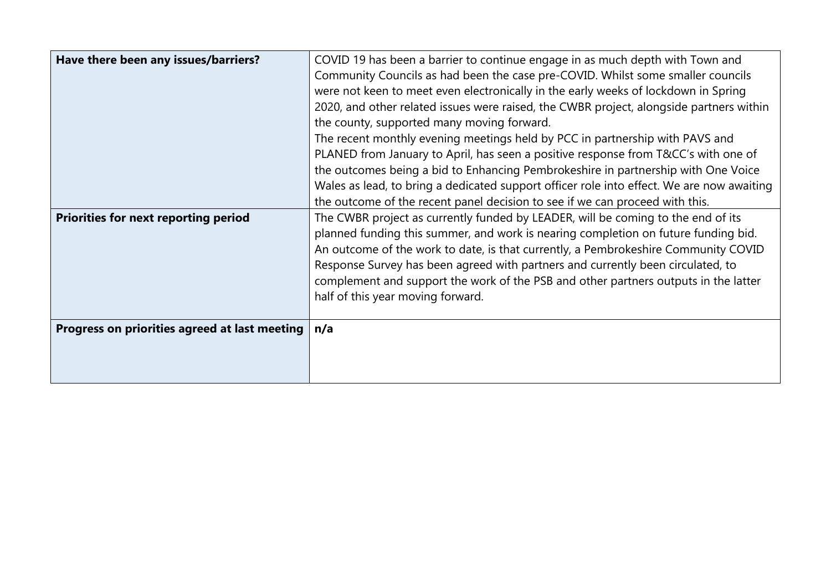| Have there been any issues/barriers?          | COVID 19 has been a barrier to continue engage in as much depth with Town and             |
|-----------------------------------------------|-------------------------------------------------------------------------------------------|
|                                               | Community Councils as had been the case pre-COVID. Whilst some smaller councils           |
|                                               | were not keen to meet even electronically in the early weeks of lockdown in Spring        |
|                                               | 2020, and other related issues were raised, the CWBR project, alongside partners within   |
|                                               | the county, supported many moving forward.                                                |
|                                               | The recent monthly evening meetings held by PCC in partnership with PAVS and              |
|                                               | PLANED from January to April, has seen a positive response from T&CC's with one of        |
|                                               | the outcomes being a bid to Enhancing Pembrokeshire in partnership with One Voice         |
|                                               | Wales as lead, to bring a dedicated support officer role into effect. We are now awaiting |
|                                               | the outcome of the recent panel decision to see if we can proceed with this.              |
| <b>Priorities for next reporting period</b>   | The CWBR project as currently funded by LEADER, will be coming to the end of its          |
|                                               | planned funding this summer, and work is nearing completion on future funding bid.        |
|                                               | An outcome of the work to date, is that currently, a Pembrokeshire Community COVID        |
|                                               | Response Survey has been agreed with partners and currently been circulated, to           |
|                                               | complement and support the work of the PSB and other partners outputs in the latter       |
|                                               | half of this year moving forward.                                                         |
|                                               |                                                                                           |
| Progress on priorities agreed at last meeting | n/a                                                                                       |
|                                               |                                                                                           |
|                                               |                                                                                           |
|                                               |                                                                                           |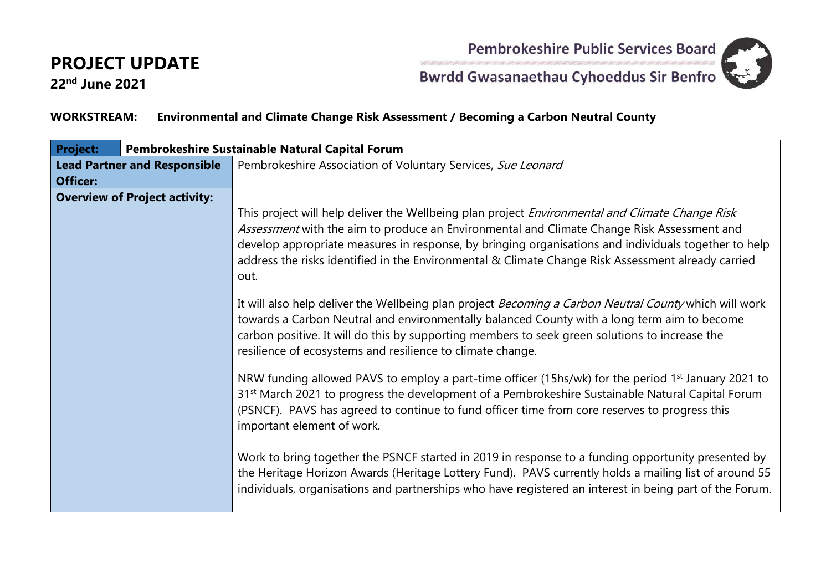**22nd June 2021**



Pembrokeshire Public Services Board<br>Bwrdd Gwasanaethau Cyhoeddus Sir Benfro

#### **WORKSTREAM: Environmental and Climate Change Risk Assessment / Becoming a Carbon Neutral County**

| <b>Project:</b>                                        | Pembrokeshire Sustainable Natural Capital Forum |                                                                                                                                                                                                                                                                                                                                                                                                                     |
|--------------------------------------------------------|-------------------------------------------------|---------------------------------------------------------------------------------------------------------------------------------------------------------------------------------------------------------------------------------------------------------------------------------------------------------------------------------------------------------------------------------------------------------------------|
| <b>Lead Partner and Responsible</b><br><b>Officer:</b> |                                                 | Pembrokeshire Association of Voluntary Services, Sue Leonard                                                                                                                                                                                                                                                                                                                                                        |
|                                                        | <b>Overview of Project activity:</b>            | This project will help deliver the Wellbeing plan project Environmental and Climate Change Risk<br>Assessment with the aim to produce an Environmental and Climate Change Risk Assessment and<br>develop appropriate measures in response, by bringing organisations and individuals together to help<br>address the risks identified in the Environmental & Climate Change Risk Assessment already carried<br>out. |
|                                                        |                                                 | It will also help deliver the Wellbeing plan project Becoming a Carbon Neutral County which will work<br>towards a Carbon Neutral and environmentally balanced County with a long term aim to become<br>carbon positive. It will do this by supporting members to seek green solutions to increase the<br>resilience of ecosystems and resilience to climate change.                                                |
|                                                        |                                                 | NRW funding allowed PAVS to employ a part-time officer (15hs/wk) for the period 1 <sup>st</sup> January 2021 to<br>31 <sup>st</sup> March 2021 to progress the development of a Pembrokeshire Sustainable Natural Capital Forum<br>(PSNCF). PAVS has agreed to continue to fund officer time from core reserves to progress this<br>important element of work.                                                      |
|                                                        |                                                 | Work to bring together the PSNCF started in 2019 in response to a funding opportunity presented by<br>the Heritage Horizon Awards (Heritage Lottery Fund). PAVS currently holds a mailing list of around 55<br>individuals, organisations and partnerships who have registered an interest in being part of the Forum.                                                                                              |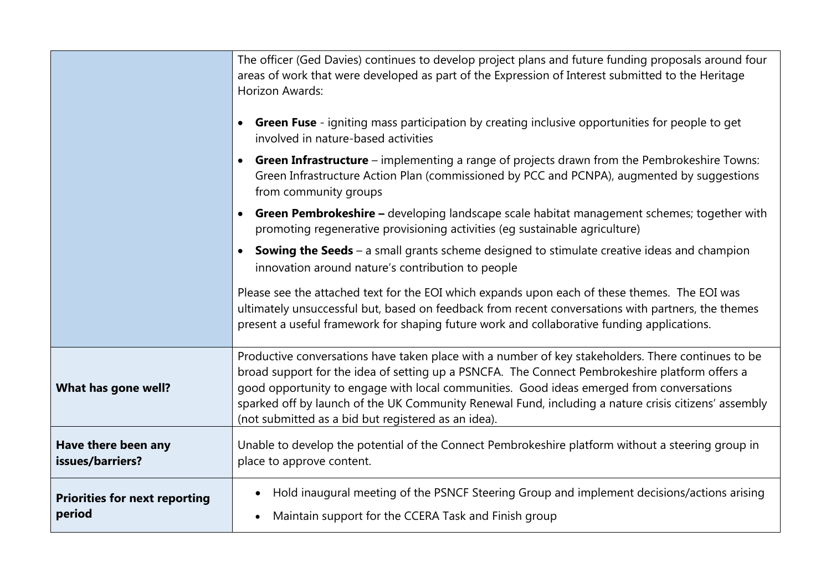|                                                | The officer (Ged Davies) continues to develop project plans and future funding proposals around four<br>areas of work that were developed as part of the Expression of Interest submitted to the Heritage<br>Horizon Awards:<br><b>Green Fuse</b> - igniting mass participation by creating inclusive opportunities for people to get<br>$\bullet$<br>involved in nature-based activities<br><b>Green Infrastructure</b> – implementing a range of projects drawn from the Pembrokeshire Towns:<br>$\bullet$<br>Green Infrastructure Action Plan (commissioned by PCC and PCNPA), augmented by suggestions<br>from community groups<br><b>Green Pembrokeshire</b> – developing landscape scale habitat management schemes; together with<br>$\bullet$<br>promoting regenerative provisioning activities (eg sustainable agriculture)<br><b>Sowing the Seeds</b> – a small grants scheme designed to stimulate creative ideas and champion<br>$\bullet$<br>innovation around nature's contribution to people<br>Please see the attached text for the EOI which expands upon each of these themes. The EOI was<br>ultimately unsuccessful but, based on feedback from recent conversations with partners, the themes |
|------------------------------------------------|--------------------------------------------------------------------------------------------------------------------------------------------------------------------------------------------------------------------------------------------------------------------------------------------------------------------------------------------------------------------------------------------------------------------------------------------------------------------------------------------------------------------------------------------------------------------------------------------------------------------------------------------------------------------------------------------------------------------------------------------------------------------------------------------------------------------------------------------------------------------------------------------------------------------------------------------------------------------------------------------------------------------------------------------------------------------------------------------------------------------------------------------------------------------------------------------------------------------|
| What has gone well?                            | present a useful framework for shaping future work and collaborative funding applications.<br>Productive conversations have taken place with a number of key stakeholders. There continues to be<br>broad support for the idea of setting up a PSNCFA. The Connect Pembrokeshire platform offers a<br>good opportunity to engage with local communities. Good ideas emerged from conversations<br>sparked off by launch of the UK Community Renewal Fund, including a nature crisis citizens' assembly<br>(not submitted as a bid but registered as an idea).                                                                                                                                                                                                                                                                                                                                                                                                                                                                                                                                                                                                                                                      |
| Have there been any<br>issues/barriers?        | Unable to develop the potential of the Connect Pembrokeshire platform without a steering group in<br>place to approve content.                                                                                                                                                                                                                                                                                                                                                                                                                                                                                                                                                                                                                                                                                                                                                                                                                                                                                                                                                                                                                                                                                     |
| <b>Priorities for next reporting</b><br>period | Hold inaugural meeting of the PSNCF Steering Group and implement decisions/actions arising<br>$\bullet$<br>Maintain support for the CCERA Task and Finish group<br>$\bullet$                                                                                                                                                                                                                                                                                                                                                                                                                                                                                                                                                                                                                                                                                                                                                                                                                                                                                                                                                                                                                                       |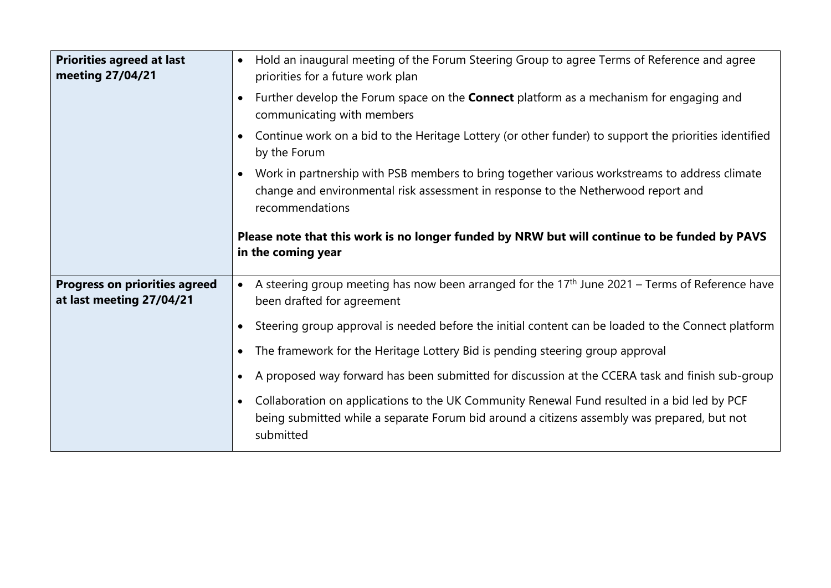| <b>Priorities agreed at last</b><br>meeting 27/04/21             | Hold an inaugural meeting of the Forum Steering Group to agree Terms of Reference and agree<br>$\bullet$<br>priorities for a future work plan                                                                        |
|------------------------------------------------------------------|----------------------------------------------------------------------------------------------------------------------------------------------------------------------------------------------------------------------|
|                                                                  | Further develop the Forum space on the <b>Connect</b> platform as a mechanism for engaging and<br>communicating with members                                                                                         |
|                                                                  | Continue work on a bid to the Heritage Lottery (or other funder) to support the priorities identified<br>$\bullet$<br>by the Forum                                                                                   |
|                                                                  | Work in partnership with PSB members to bring together various workstreams to address climate<br>$\bullet$<br>change and environmental risk assessment in response to the Netherwood report and<br>recommendations   |
|                                                                  | Please note that this work is no longer funded by NRW but will continue to be funded by PAVS<br>in the coming year                                                                                                   |
| <b>Progress on priorities agreed</b><br>at last meeting 27/04/21 | A steering group meeting has now been arranged for the 17 <sup>th</sup> June 2021 - Terms of Reference have<br>$\bullet$<br>been drafted for agreement                                                               |
|                                                                  | Steering group approval is needed before the initial content can be loaded to the Connect platform                                                                                                                   |
|                                                                  | The framework for the Heritage Lottery Bid is pending steering group approval<br>$\bullet$                                                                                                                           |
|                                                                  | A proposed way forward has been submitted for discussion at the CCERA task and finish sub-group<br>$\bullet$                                                                                                         |
|                                                                  | Collaboration on applications to the UK Community Renewal Fund resulted in a bid led by PCF<br>$\bullet$<br>being submitted while a separate Forum bid around a citizens assembly was prepared, but not<br>submitted |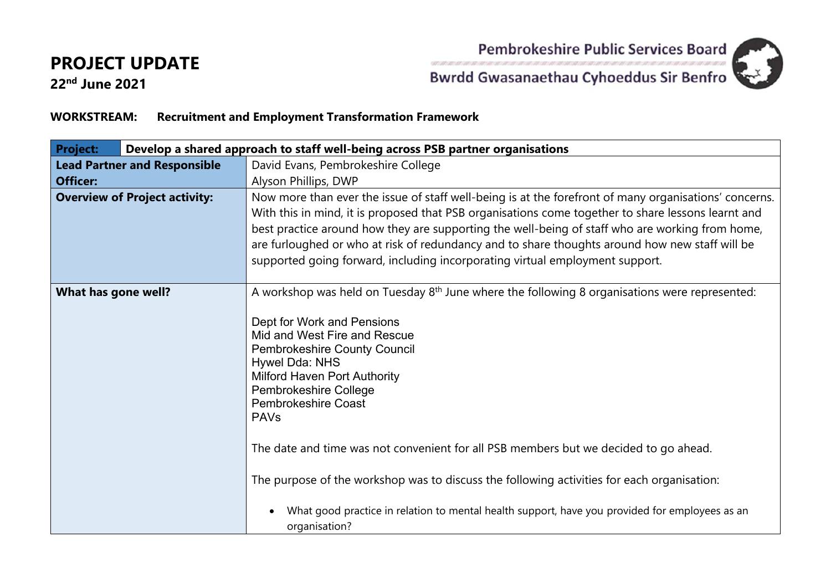Pembrokeshire Public Services Board



**22nd June 2021**

# **Bwrdd Gwasanaethau Cyhoeddus Sir Benfro**

#### **WORKSTREAM: Recruitment and Employment Transformation Framework**

| <b>Project:</b>                                 | Develop a shared approach to staff well-being across PSB partner organisations |                                                                                                                                                                                                                                                                                                                                                                                                                                                                                                                                     |
|-------------------------------------------------|--------------------------------------------------------------------------------|-------------------------------------------------------------------------------------------------------------------------------------------------------------------------------------------------------------------------------------------------------------------------------------------------------------------------------------------------------------------------------------------------------------------------------------------------------------------------------------------------------------------------------------|
| <b>Lead Partner and Responsible</b><br>Officer: |                                                                                | David Evans, Pembrokeshire College<br>Alyson Phillips, DWP                                                                                                                                                                                                                                                                                                                                                                                                                                                                          |
|                                                 | <b>Overview of Project activity:</b>                                           | Now more than ever the issue of staff well-being is at the forefront of many organisations' concerns.<br>With this in mind, it is proposed that PSB organisations come together to share lessons learnt and<br>best practice around how they are supporting the well-being of staff who are working from home,<br>are furloughed or who at risk of redundancy and to share thoughts around how new staff will be<br>supported going forward, including incorporating virtual employment support.                                    |
| What has gone well?                             |                                                                                | A workshop was held on Tuesday 8 <sup>th</sup> June where the following 8 organisations were represented:<br>Dept for Work and Pensions<br>Mid and West Fire and Rescue<br><b>Pembrokeshire County Council</b><br>Hywel Dda: NHS<br><b>Milford Haven Port Authority</b><br>Pembrokeshire College<br><b>Pembrokeshire Coast</b><br><b>PAVs</b><br>The date and time was not convenient for all PSB members but we decided to go ahead.<br>The purpose of the workshop was to discuss the following activities for each organisation: |
|                                                 |                                                                                | What good practice in relation to mental health support, have you provided for employees as an<br>organisation?                                                                                                                                                                                                                                                                                                                                                                                                                     |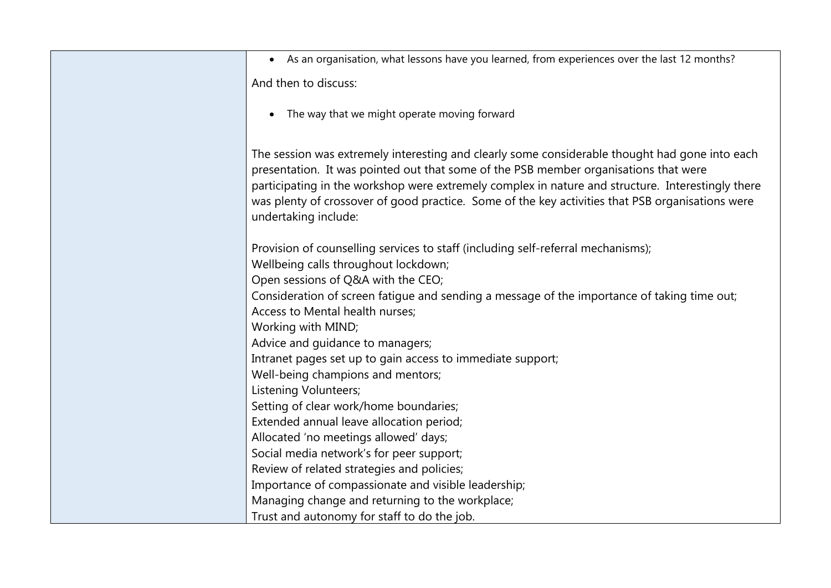| • As an organisation, what lessons have you learned, from experiences over the last 12 months?                                                                                            |
|-------------------------------------------------------------------------------------------------------------------------------------------------------------------------------------------|
| And then to discuss:                                                                                                                                                                      |
|                                                                                                                                                                                           |
| • The way that we might operate moving forward                                                                                                                                            |
|                                                                                                                                                                                           |
| The session was extremely interesting and clearly some considerable thought had gone into each                                                                                            |
| presentation. It was pointed out that some of the PSB member organisations that were<br>participating in the workshop were extremely complex in nature and structure. Interestingly there |
| was plenty of crossover of good practice. Some of the key activities that PSB organisations were                                                                                          |
| undertaking include:                                                                                                                                                                      |
|                                                                                                                                                                                           |
| Provision of counselling services to staff (including self-referral mechanisms);                                                                                                          |
| Wellbeing calls throughout lockdown;                                                                                                                                                      |
| Open sessions of Q&A with the CEO;                                                                                                                                                        |
| Consideration of screen fatigue and sending a message of the importance of taking time out;                                                                                               |
| Access to Mental health nurses;                                                                                                                                                           |
| Working with MIND;                                                                                                                                                                        |
| Advice and guidance to managers;                                                                                                                                                          |
| Intranet pages set up to gain access to immediate support;                                                                                                                                |
| Well-being champions and mentors;                                                                                                                                                         |
| Listening Volunteers;                                                                                                                                                                     |
| Setting of clear work/home boundaries;                                                                                                                                                    |
| Extended annual leave allocation period;                                                                                                                                                  |
| Allocated 'no meetings allowed' days;                                                                                                                                                     |
| Social media network's for peer support;                                                                                                                                                  |
| Review of related strategies and policies;                                                                                                                                                |
| Importance of compassionate and visible leadership;                                                                                                                                       |
| Managing change and returning to the workplace;                                                                                                                                           |
| Trust and autonomy for staff to do the job.                                                                                                                                               |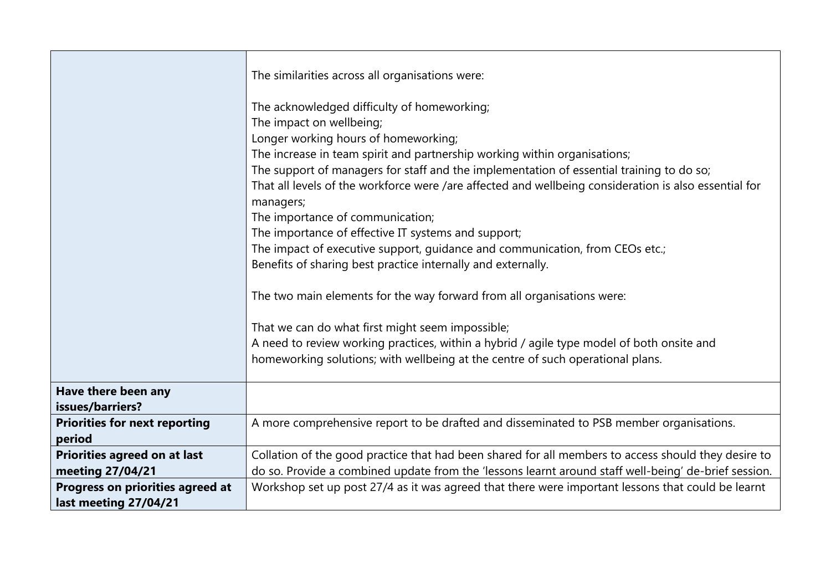|                                                           | The similarities across all organisations were:<br>The acknowledged difficulty of homeworking;<br>The impact on wellbeing;<br>Longer working hours of homeworking;<br>The increase in team spirit and partnership working within organisations;<br>The support of managers for staff and the implementation of essential training to do so;<br>That all levels of the workforce were /are affected and wellbeing consideration is also essential for<br>managers;<br>The importance of communication;<br>The importance of effective IT systems and support;<br>The impact of executive support, guidance and communication, from CEOs etc.;<br>Benefits of sharing best practice internally and externally.<br>The two main elements for the way forward from all organisations were:<br>That we can do what first might seem impossible;<br>A need to review working practices, within a hybrid / agile type model of both onsite and<br>homeworking solutions; with wellbeing at the centre of such operational plans. |
|-----------------------------------------------------------|---------------------------------------------------------------------------------------------------------------------------------------------------------------------------------------------------------------------------------------------------------------------------------------------------------------------------------------------------------------------------------------------------------------------------------------------------------------------------------------------------------------------------------------------------------------------------------------------------------------------------------------------------------------------------------------------------------------------------------------------------------------------------------------------------------------------------------------------------------------------------------------------------------------------------------------------------------------------------------------------------------------------------|
| Have there been any<br>issues/barriers?                   |                                                                                                                                                                                                                                                                                                                                                                                                                                                                                                                                                                                                                                                                                                                                                                                                                                                                                                                                                                                                                           |
| <b>Priorities for next reporting</b><br>period            | A more comprehensive report to be drafted and disseminated to PSB member organisations.                                                                                                                                                                                                                                                                                                                                                                                                                                                                                                                                                                                                                                                                                                                                                                                                                                                                                                                                   |
| Priorities agreed on at last<br>meeting 27/04/21          | Collation of the good practice that had been shared for all members to access should they desire to<br>do so. Provide a combined update from the 'lessons learnt around staff well-being' de-brief session.                                                                                                                                                                                                                                                                                                                                                                                                                                                                                                                                                                                                                                                                                                                                                                                                               |
| Progress on priorities agreed at<br>last meeting 27/04/21 | Workshop set up post 27/4 as it was agreed that there were important lessons that could be learnt                                                                                                                                                                                                                                                                                                                                                                                                                                                                                                                                                                                                                                                                                                                                                                                                                                                                                                                         |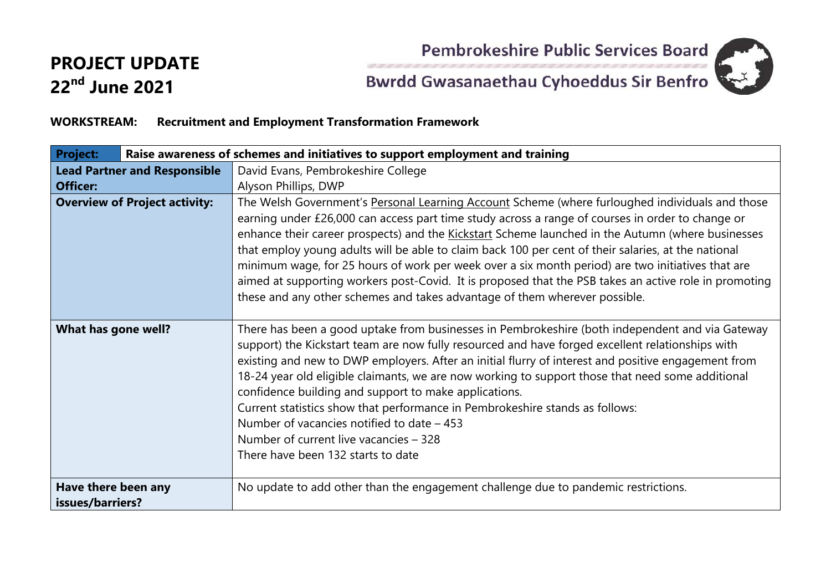

## **PROJECT UPDATE 22nd June 2021**

# Pembrokeshire Public Services Board<br>Bwrdd Gwasanaethau Cyhoeddus Sir Benfro

#### **WORKSTREAM: Recruitment and Employment Transformation Framework**

| <b>Project:</b>                         |                                      | Raise awareness of schemes and initiatives to support employment and training                                                                                                                                                                                                                                                                                                                                                                                                                                                                                                                                                                                                                               |
|-----------------------------------------|--------------------------------------|-------------------------------------------------------------------------------------------------------------------------------------------------------------------------------------------------------------------------------------------------------------------------------------------------------------------------------------------------------------------------------------------------------------------------------------------------------------------------------------------------------------------------------------------------------------------------------------------------------------------------------------------------------------------------------------------------------------|
| <b>Lead Partner and Responsible</b>     |                                      | David Evans, Pembrokeshire College                                                                                                                                                                                                                                                                                                                                                                                                                                                                                                                                                                                                                                                                          |
| <b>Officer:</b>                         |                                      | Alyson Phillips, DWP                                                                                                                                                                                                                                                                                                                                                                                                                                                                                                                                                                                                                                                                                        |
|                                         | <b>Overview of Project activity:</b> | The Welsh Government's Personal Learning Account Scheme (where furloughed individuals and those<br>earning under £26,000 can access part time study across a range of courses in order to change or<br>enhance their career prospects) and the Kickstart Scheme launched in the Autumn (where businesses<br>that employ young adults will be able to claim back 100 per cent of their salaries, at the national<br>minimum wage, for 25 hours of work per week over a six month period) are two initiatives that are<br>aimed at supporting workers post-Covid. It is proposed that the PSB takes an active role in promoting<br>these and any other schemes and takes advantage of them wherever possible. |
| What has gone well?                     |                                      | There has been a good uptake from businesses in Pembrokeshire (both independent and via Gateway<br>support) the Kickstart team are now fully resourced and have forged excellent relationships with<br>existing and new to DWP employers. After an initial flurry of interest and positive engagement from<br>18-24 year old eligible claimants, we are now working to support those that need some additional<br>confidence building and support to make applications.<br>Current statistics show that performance in Pembrokeshire stands as follows:<br>Number of vacancies notified to date – 453<br>Number of current live vacancies – 328<br>There have been 132 starts to date                       |
| Have there been any<br>issues/barriers? |                                      | No update to add other than the engagement challenge due to pandemic restrictions.                                                                                                                                                                                                                                                                                                                                                                                                                                                                                                                                                                                                                          |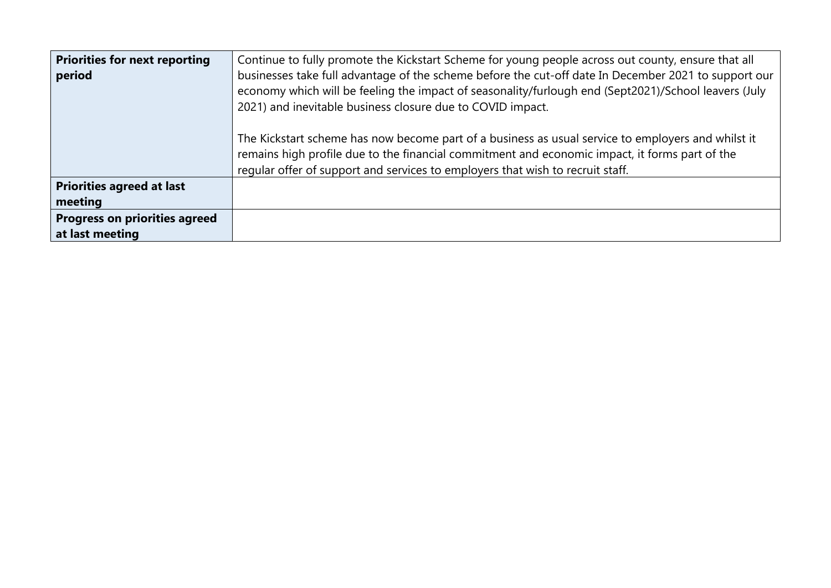| <b>Priorities for next reporting</b><br>period | Continue to fully promote the Kickstart Scheme for young people across out county, ensure that all<br>businesses take full advantage of the scheme before the cut-off date In December 2021 to support our<br>economy which will be feeling the impact of seasonality/furlough end (Sept2021)/School leavers (July<br>2021) and inevitable business closure due to COVID impact. |
|------------------------------------------------|----------------------------------------------------------------------------------------------------------------------------------------------------------------------------------------------------------------------------------------------------------------------------------------------------------------------------------------------------------------------------------|
|                                                | The Kickstart scheme has now become part of a business as usual service to employers and whilst it<br>remains high profile due to the financial commitment and economic impact, it forms part of the<br>regular offer of support and services to employers that wish to recruit staff.                                                                                           |
| <b>Priorities agreed at last</b>               |                                                                                                                                                                                                                                                                                                                                                                                  |
| meeting                                        |                                                                                                                                                                                                                                                                                                                                                                                  |
| <b>Progress on priorities agreed</b>           |                                                                                                                                                                                                                                                                                                                                                                                  |
| at last meeting                                |                                                                                                                                                                                                                                                                                                                                                                                  |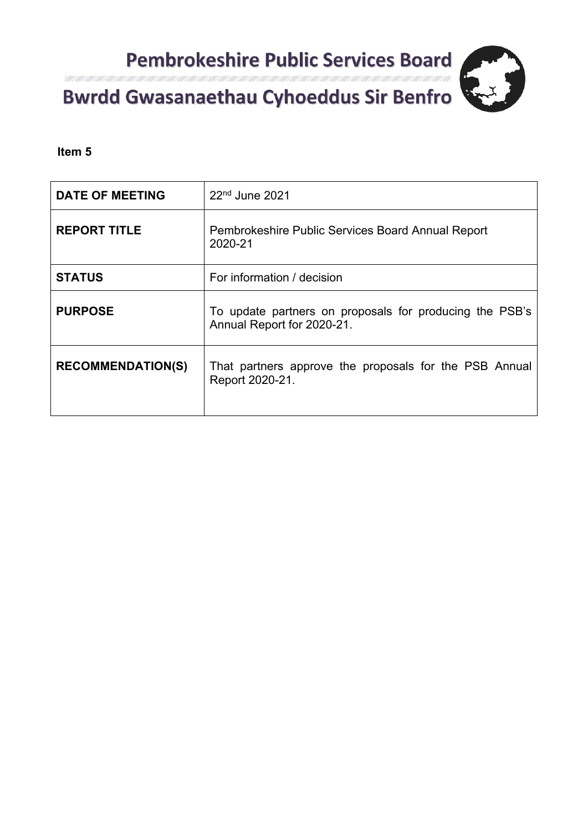

**Item 5** 

| <b>DATE OF MEETING</b>   | $22nd$ June 2021                                                                      |
|--------------------------|---------------------------------------------------------------------------------------|
| <b>REPORT TITLE</b>      | Pembrokeshire Public Services Board Annual Report<br>2020-21                          |
| <b>STATUS</b>            | For information / decision                                                            |
| <b>PURPOSE</b>           | To update partners on proposals for producing the PSB's<br>Annual Report for 2020-21. |
| <b>RECOMMENDATION(S)</b> | That partners approve the proposals for the PSB Annual<br>Report 2020-21.             |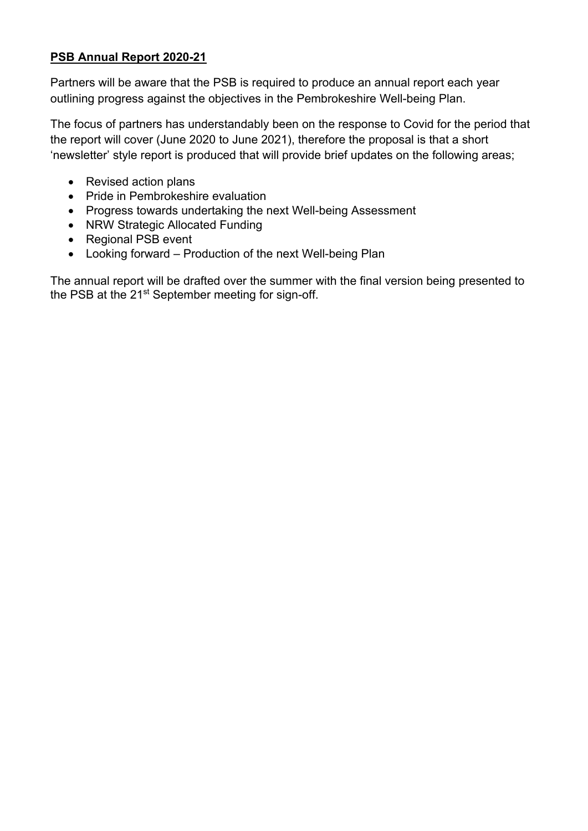#### **PSB Annual Report 2020-21**

Partners will be aware that the PSB is required to produce an annual report each year outlining progress against the objectives in the Pembrokeshire Well-being Plan.

The focus of partners has understandably been on the response to Covid for the period that the report will cover (June 2020 to June 2021), therefore the proposal is that a short 'newsletter' style report is produced that will provide brief updates on the following areas;

- Revised action plans
- Pride in Pembrokeshire evaluation
- Progress towards undertaking the next Well-being Assessment
- NRW Strategic Allocated Funding
- Regional PSB event
- Looking forward Production of the next Well-being Plan

The annual report will be drafted over the summer with the final version being presented to the PSB at the 21<sup>st</sup> September meeting for sign-off.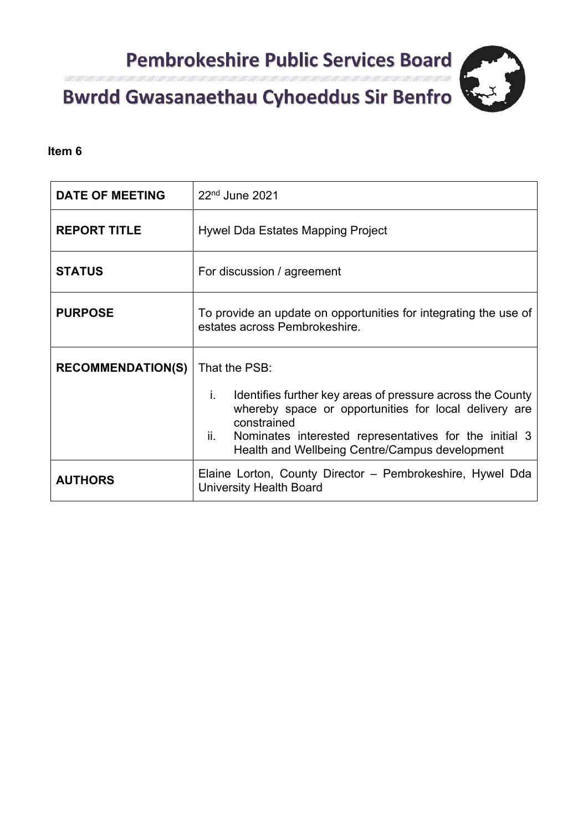

#### Itali 1 Alli 1 Alli 1 Alli 1 Alli 1 Consultation respon

#### **Item 6**

| <b>DATE OF MEETING</b>   | $22nd$ June 2021                                                                                                                                                                                                                                                             |  |
|--------------------------|------------------------------------------------------------------------------------------------------------------------------------------------------------------------------------------------------------------------------------------------------------------------------|--|
| <b>REPORT TITLE</b>      | Hywel Dda Estates Mapping Project                                                                                                                                                                                                                                            |  |
| <b>STATUS</b>            | For discussion / agreement                                                                                                                                                                                                                                                   |  |
| <b>PURPOSE</b>           | To provide an update on opportunities for integrating the use of<br>estates across Pembrokeshire.                                                                                                                                                                            |  |
| <b>RECOMMENDATION(S)</b> | That the PSB:<br>Identifies further key areas of pressure across the County<br>i.<br>whereby space or opportunities for local delivery are<br>constrained<br>ii.<br>Nominates interested representatives for the initial 3<br>Health and Wellbeing Centre/Campus development |  |
| <b>AUTHORS</b>           | Elaine Lorton, County Director – Pembrokeshire, Hywel Dda<br><b>University Health Board</b>                                                                                                                                                                                  |  |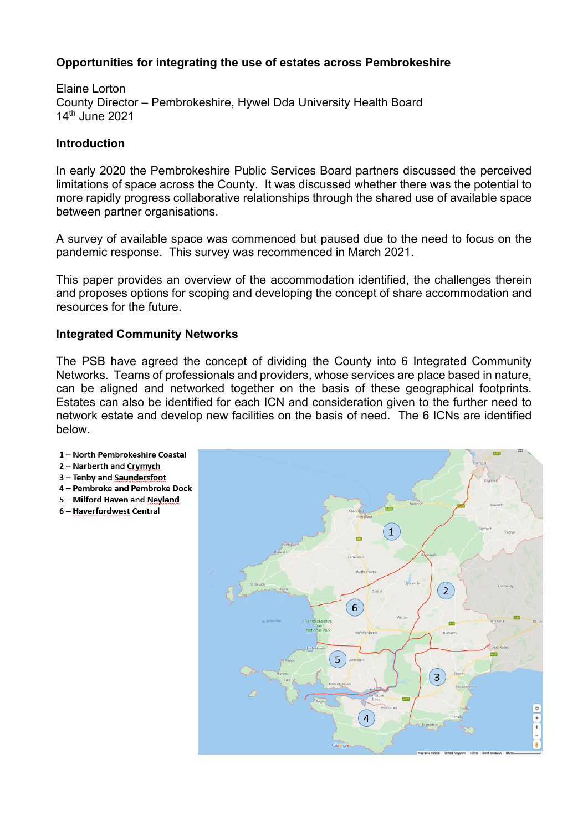#### **Opportunities for integrating the use of estates across Pembrokeshire**

Elaine Lorton County Director – Pembrokeshire, Hywel Dda University Health Board 14th June 2021

#### **Introduction**

In early 2020 the Pembrokeshire Public Services Board partners discussed the perceived limitations of space across the County. It was discussed whether there was the potential to more rapidly progress collaborative relationships through the shared use of available space between partner organisations.

A survey of available space was commenced but paused due to the need to focus on the pandemic response. This survey was recommenced in March 2021.

This paper provides an overview of the accommodation identified, the challenges therein and proposes options for scoping and developing the concept of share accommodation and resources for the future.

#### **Integrated Community Networks**

The PSB have agreed the concept of dividing the County into 6 Integrated Community Networks. Teams of professionals and providers, whose services are place based in nature, can be aligned and networked together on the basis of these geographical footprints. Estates can also be identified for each ICN and consideration given to the further need to network estate and develop new facilities on the basis of need. The 6 ICNs are identified below.

- 1 North Pembrokeshire Coastal
- 2 Narberth and Crymych
- 3 Tenby and Saundersfoot
- 4 Pembroke and Pembroke Dock
- 5 Milford Haven and Nevland
- 6 Haverfordwest Central

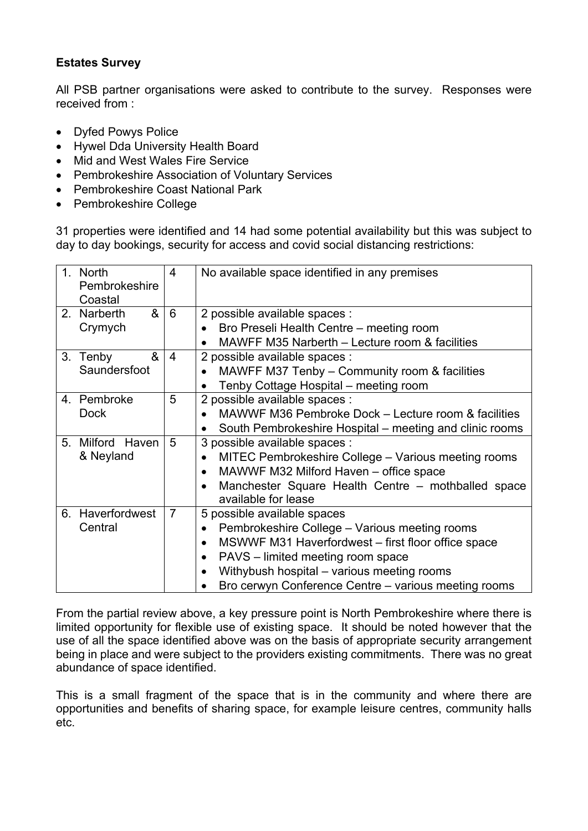#### **Estates Survey**

All PSB partner organisations were asked to contribute to the survey. Responses were received from :

- Dyfed Powys Police
- Hywel Dda University Health Board
- Mid and West Wales Fire Service
- Pembrokeshire Association of Voluntary Services
- Pembrokeshire Coast National Park
- Pembrokeshire College

31 properties were identified and 14 had some potential availability but this was subject to day to day bookings, security for access and covid social distancing restrictions:

| $1_{-}$        | <b>North</b>               | 4              | No available space identified in any premises                   |  |
|----------------|----------------------------|----------------|-----------------------------------------------------------------|--|
|                | Pembrokeshire              |                |                                                                 |  |
|                | Coastal                    |                |                                                                 |  |
| 2 <sub>1</sub> | 8 <sub>l</sub><br>Narberth | 6              | 2 possible available spaces :                                   |  |
|                | Crymych                    |                | Bro Preseli Health Centre - meeting room                        |  |
|                |                            |                | MAWFF M35 Narberth - Lecture room & facilities                  |  |
| 3.             | &<br>Tenby                 | 4              | 2 possible available spaces :                                   |  |
|                | Saundersfoot               |                | MAWFF M37 Tenby - Community room & facilities                   |  |
|                |                            |                | Tenby Cottage Hospital – meeting room                           |  |
|                | 4. Pembroke                | 5              | 2 possible available spaces :                                   |  |
|                | <b>Dock</b>                |                | MAWWF M36 Pembroke Dock - Lecture room & facilities             |  |
|                |                            |                | South Pembrokeshire Hospital – meeting and clinic rooms         |  |
| 5 <sub>1</sub> | Milford Haven              | 5              | 3 possible available spaces :                                   |  |
|                | & Neyland                  |                | MITEC Pembrokeshire College - Various meeting rooms             |  |
|                |                            |                | MAWWF M32 Milford Haven - office space                          |  |
|                |                            |                | Manchester Square Health Centre - mothballed space              |  |
|                |                            |                | available for lease                                             |  |
|                | 6. Haverfordwest           | $\overline{7}$ | 5 possible available spaces                                     |  |
|                | Central                    |                | Pembrokeshire College - Various meeting rooms<br>$\bullet$      |  |
|                |                            |                | MSWWF M31 Haverfordwest – first floor office space<br>$\bullet$ |  |
|                |                            |                | PAVS – limited meeting room space<br>$\bullet$                  |  |
|                |                            |                | Withybush hospital - various meeting rooms                      |  |
|                |                            |                | Bro cerwyn Conference Centre - various meeting rooms            |  |

From the partial review above, a key pressure point is North Pembrokeshire where there is limited opportunity for flexible use of existing space. It should be noted however that the use of all the space identified above was on the basis of appropriate security arrangement being in place and were subject to the providers existing commitments. There was no great abundance of space identified.

This is a small fragment of the space that is in the community and where there are opportunities and benefits of sharing space, for example leisure centres, community halls etc.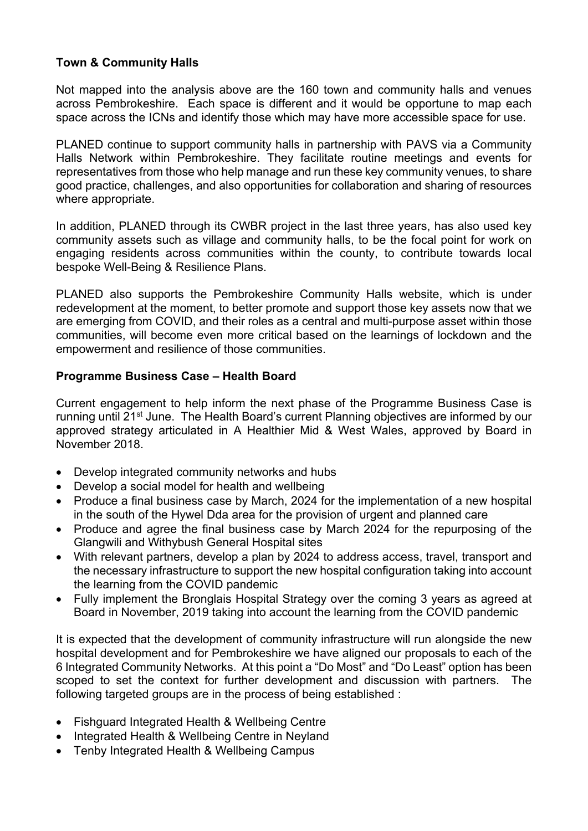#### **Town & Community Halls**

Not mapped into the analysis above are the 160 town and community halls and venues across Pembrokeshire. Each space is different and it would be opportune to map each space across the ICNs and identify those which may have more accessible space for use.

PLANED continue to support community halls in partnership with PAVS via a Community Halls Network within Pembrokeshire. They facilitate routine meetings and events for representatives from those who help manage and run these key community venues, to share good practice, challenges, and also opportunities for collaboration and sharing of resources where appropriate.

In addition, PLANED through its CWBR project in the last three years, has also used key community assets such as village and community halls, to be the focal point for work on engaging residents across communities within the county, to contribute towards local bespoke Well-Being & Resilience Plans.

PLANED also supports the Pembrokeshire Community Halls website, which is under redevelopment at the moment, to better promote and support those key assets now that we are emerging from COVID, and their roles as a central and multi-purpose asset within those communities, will become even more critical based on the learnings of lockdown and the empowerment and resilience of those communities.

#### **Programme Business Case – Health Board**

Current engagement to help inform the next phase of the Programme Business Case is running until 21<sup>st</sup> June. The Health Board's current Planning objectives are informed by our approved strategy articulated in A Healthier Mid & West Wales, approved by Board in November 2018.

- Develop integrated community networks and hubs
- Develop a social model for health and wellbeing
- Produce a final business case by March, 2024 for the implementation of a new hospital in the south of the Hywel Dda area for the provision of urgent and planned care
- Produce and agree the final business case by March 2024 for the repurposing of the Glangwili and Withybush General Hospital sites
- With relevant partners, develop a plan by 2024 to address access, travel, transport and the necessary infrastructure to support the new hospital configuration taking into account the learning from the COVID pandemic
- Fully implement the Bronglais Hospital Strategy over the coming 3 years as agreed at Board in November, 2019 taking into account the learning from the COVID pandemic

It is expected that the development of community infrastructure will run alongside the new hospital development and for Pembrokeshire we have aligned our proposals to each of the 6 Integrated Community Networks. At this point a "Do Most" and "Do Least" option has been scoped to set the context for further development and discussion with partners. The following targeted groups are in the process of being established :

- Fishguard Integrated Health & Wellbeing Centre
- Integrated Health & Wellbeing Centre in Neyland
- Tenby Integrated Health & Wellbeing Campus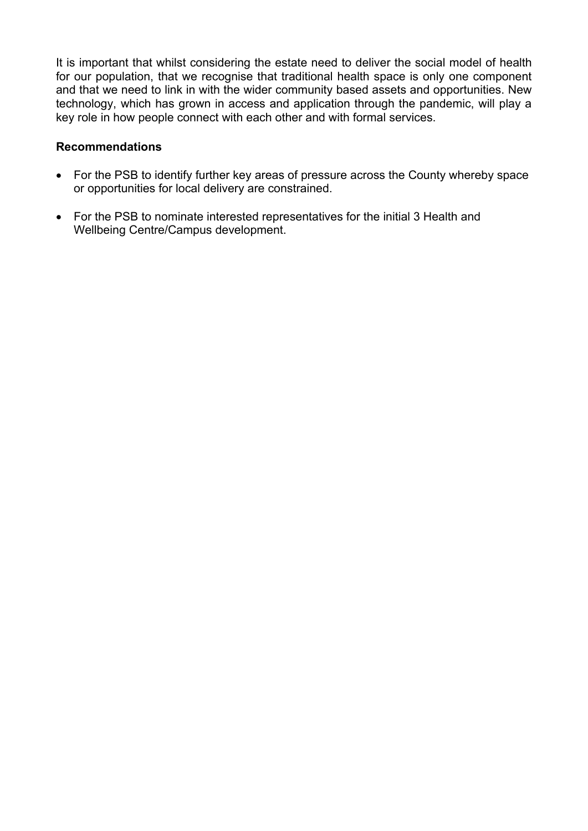It is important that whilst considering the estate need to deliver the social model of health for our population, that we recognise that traditional health space is only one component and that we need to link in with the wider community based assets and opportunities. New technology, which has grown in access and application through the pandemic, will play a key role in how people connect with each other and with formal services.

#### **Recommendations**

- For the PSB to identify further key areas of pressure across the County whereby space or opportunities for local delivery are constrained.
- For the PSB to nominate interested representatives for the initial 3 Health and Wellbeing Centre/Campus development.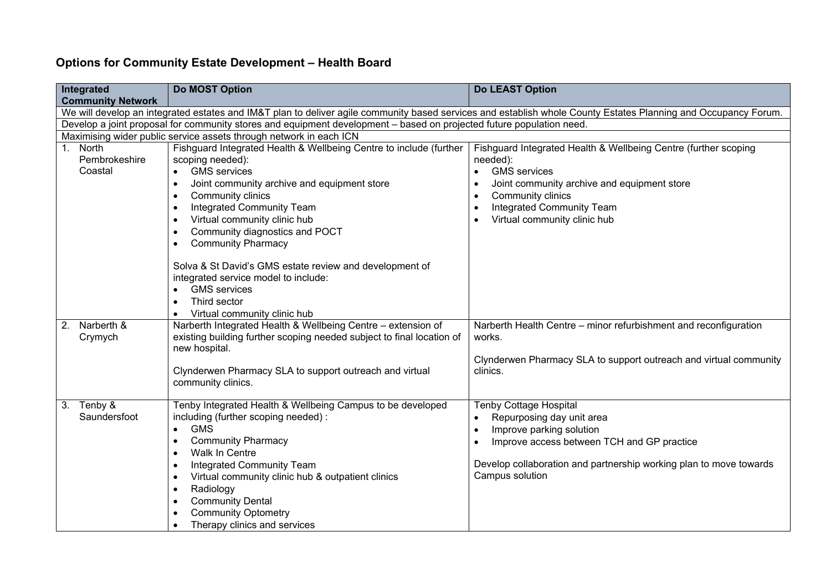## **Options for Community Estate Development – Health Board**

| Integrated                                                                                                                                                                                                                                                                             | <b>Do MOST Option</b>                                                                                                                 | <b>Do LEAST Option</b>                                                     |  |
|----------------------------------------------------------------------------------------------------------------------------------------------------------------------------------------------------------------------------------------------------------------------------------------|---------------------------------------------------------------------------------------------------------------------------------------|----------------------------------------------------------------------------|--|
| <b>Community Network</b>                                                                                                                                                                                                                                                               |                                                                                                                                       |                                                                            |  |
| We will develop an integrated estates and IM&T plan to deliver agile community based services and establish whole County Estates Planning and Occupancy Forum.<br>Develop a joint proposal for community stores and equipment development - based on projected future population need. |                                                                                                                                       |                                                                            |  |
|                                                                                                                                                                                                                                                                                        | Maximising wider public service assets through network in each ICN                                                                    |                                                                            |  |
| North<br>1.                                                                                                                                                                                                                                                                            | Fishguard Integrated Health & Wellbeing Centre to include (further                                                                    | Fishguard Integrated Health & Wellbeing Centre (further scoping            |  |
| Pembrokeshire                                                                                                                                                                                                                                                                          | scoping needed):                                                                                                                      | needed):                                                                   |  |
| Coastal                                                                                                                                                                                                                                                                                | <b>GMS</b> services                                                                                                                   | <b>GMS</b> services<br>$\bullet$                                           |  |
|                                                                                                                                                                                                                                                                                        | Joint community archive and equipment store                                                                                           | Joint community archive and equipment store                                |  |
|                                                                                                                                                                                                                                                                                        | Community clinics<br>٠                                                                                                                | Community clinics<br>٠                                                     |  |
|                                                                                                                                                                                                                                                                                        | Integrated Community Team                                                                                                             | Integrated Community Team                                                  |  |
|                                                                                                                                                                                                                                                                                        | Virtual community clinic hub                                                                                                          | Virtual community clinic hub                                               |  |
|                                                                                                                                                                                                                                                                                        | Community diagnostics and POCT                                                                                                        |                                                                            |  |
|                                                                                                                                                                                                                                                                                        | <b>Community Pharmacy</b>                                                                                                             |                                                                            |  |
|                                                                                                                                                                                                                                                                                        | Solva & St David's GMS estate review and development of                                                                               |                                                                            |  |
|                                                                                                                                                                                                                                                                                        | integrated service model to include:                                                                                                  |                                                                            |  |
|                                                                                                                                                                                                                                                                                        | <b>GMS</b> services                                                                                                                   |                                                                            |  |
|                                                                                                                                                                                                                                                                                        | Third sector                                                                                                                          |                                                                            |  |
|                                                                                                                                                                                                                                                                                        | Virtual community clinic hub                                                                                                          |                                                                            |  |
| Narberth &<br>2.<br>Crymych                                                                                                                                                                                                                                                            | Narberth Integrated Health & Wellbeing Centre - extension of<br>existing building further scoping needed subject to final location of | Narberth Health Centre - minor refurbishment and reconfiguration<br>works. |  |
|                                                                                                                                                                                                                                                                                        | new hospital.                                                                                                                         | Clynderwen Pharmacy SLA to support outreach and virtual community          |  |
|                                                                                                                                                                                                                                                                                        | Clynderwen Pharmacy SLA to support outreach and virtual                                                                               | clinics.                                                                   |  |
|                                                                                                                                                                                                                                                                                        | community clinics.                                                                                                                    |                                                                            |  |
|                                                                                                                                                                                                                                                                                        |                                                                                                                                       |                                                                            |  |
| Tenby $\overline{\mathbf{g}}$<br>3.                                                                                                                                                                                                                                                    | Tenby Integrated Health & Wellbeing Campus to be developed                                                                            | Tenby Cottage Hospital                                                     |  |
| Saundersfoot                                                                                                                                                                                                                                                                           | including (further scoping needed):                                                                                                   | Repurposing day unit area                                                  |  |
|                                                                                                                                                                                                                                                                                        | <b>GMS</b>                                                                                                                            | Improve parking solution<br>$\bullet$                                      |  |
|                                                                                                                                                                                                                                                                                        | <b>Community Pharmacy</b>                                                                                                             | Improve access between TCH and GP practice                                 |  |
|                                                                                                                                                                                                                                                                                        | Walk In Centre                                                                                                                        |                                                                            |  |
|                                                                                                                                                                                                                                                                                        | Integrated Community Team<br>٠                                                                                                        | Develop collaboration and partnership working plan to move towards         |  |
|                                                                                                                                                                                                                                                                                        | Virtual community clinic hub & outpatient clinics                                                                                     | Campus solution                                                            |  |
|                                                                                                                                                                                                                                                                                        | Radiology<br>٠                                                                                                                        |                                                                            |  |
|                                                                                                                                                                                                                                                                                        | <b>Community Dental</b>                                                                                                               |                                                                            |  |
|                                                                                                                                                                                                                                                                                        | <b>Community Optometry</b>                                                                                                            |                                                                            |  |
|                                                                                                                                                                                                                                                                                        | Therapy clinics and services                                                                                                          |                                                                            |  |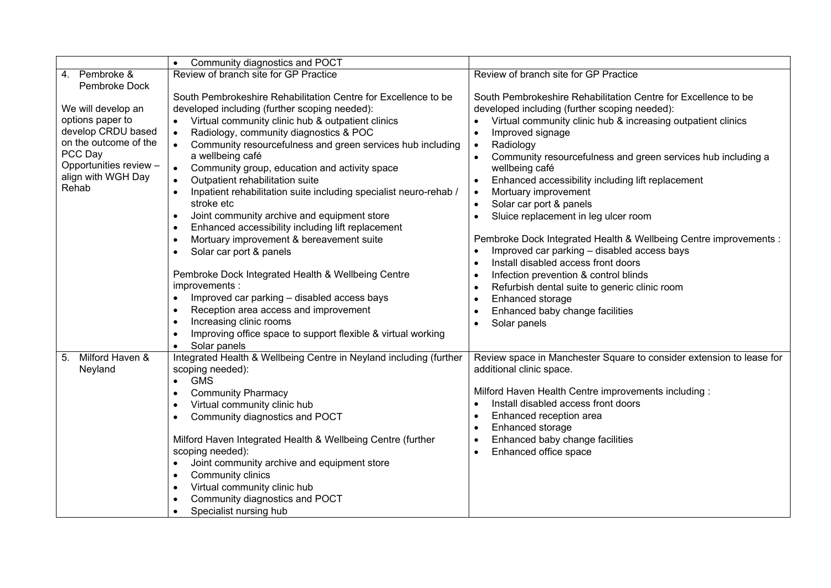|                        | Community diagnostics and POCT<br>$\bullet$                                    |                                                                           |
|------------------------|--------------------------------------------------------------------------------|---------------------------------------------------------------------------|
| 4. Pembroke &          | Review of branch site for GP Practice                                          | Review of branch site for GP Practice                                     |
| Pembroke Dock          |                                                                                |                                                                           |
|                        | South Pembrokeshire Rehabilitation Centre for Excellence to be                 | South Pembrokeshire Rehabilitation Centre for Excellence to be            |
| We will develop an     | developed including (further scoping needed):                                  | developed including (further scoping needed):                             |
| options paper to       | Virtual community clinic hub & outpatient clinics<br>$\bullet$                 | Virtual community clinic hub & increasing outpatient clinics<br>$\bullet$ |
| develop CRDU based     | Radiology, community diagnostics & POC<br>$\bullet$                            | Improved signage<br>$\bullet$                                             |
| on the outcome of the  | Community resourcefulness and green services hub including<br>$\bullet$        | Radiology<br>$\bullet$                                                    |
| PCC Day                | a wellbeing café                                                               | Community resourcefulness and green services hub including a<br>$\bullet$ |
| Opportunities review - | Community group, education and activity space<br>$\bullet$                     | wellbeing café                                                            |
| align with WGH Day     | Outpatient rehabilitation suite<br>$\bullet$                                   | Enhanced accessibility including lift replacement<br>$\bullet$            |
| Rehab                  | Inpatient rehabilitation suite including specialist neuro-rehab /<br>$\bullet$ | Mortuary improvement<br>$\bullet$                                         |
|                        | stroke etc                                                                     | Solar car port & panels<br>$\bullet$                                      |
|                        | Joint community archive and equipment store<br>$\bullet$                       | Sluice replacement in leg ulcer room<br>$\bullet$                         |
|                        | Enhanced accessibility including lift replacement<br>$\bullet$                 |                                                                           |
|                        | Mortuary improvement & bereavement suite<br>$\bullet$                          | Pembroke Dock Integrated Health & Wellbeing Centre improvements :         |
|                        | Solar car port & panels<br>$\bullet$                                           | Improved car parking - disabled access bays<br>$\bullet$                  |
|                        |                                                                                | Install disabled access front doors<br>$\bullet$                          |
|                        | Pembroke Dock Integrated Health & Wellbeing Centre                             | Infection prevention & control blinds<br>$\bullet$                        |
|                        | improvements :                                                                 | Refurbish dental suite to generic clinic room<br>$\bullet$                |
|                        | Improved car parking - disabled access bays                                    | Enhanced storage<br>$\bullet$                                             |
|                        | Reception area access and improvement<br>$\bullet$                             | Enhanced baby change facilities<br>$\bullet$                              |
|                        | Increasing clinic rooms<br>$\bullet$                                           | Solar panels<br>$\bullet$                                                 |
|                        | Improving office space to support flexible & virtual working                   |                                                                           |
|                        | Solar panels<br>$\bullet$                                                      |                                                                           |
| Milford Haven &<br>5.  | Integrated Health & Wellbeing Centre in Neyland including (further             | Review space in Manchester Square to consider extension to lease for      |
| Neyland                | scoping needed):                                                               | additional clinic space.                                                  |
|                        | <b>GMS</b><br>$\bullet$                                                        |                                                                           |
|                        | <b>Community Pharmacy</b><br>$\bullet$                                         | Milford Haven Health Centre improvements including:                       |
|                        | Virtual community clinic hub<br>$\bullet$                                      | Install disabled access front doors                                       |
|                        | Community diagnostics and POCT                                                 | Enhanced reception area<br>$\bullet$                                      |
|                        |                                                                                | Enhanced storage<br>$\bullet$                                             |
|                        | Milford Haven Integrated Health & Wellbeing Centre (further                    | Enhanced baby change facilities<br>$\bullet$                              |
|                        | scoping needed):                                                               | Enhanced office space                                                     |
|                        | Joint community archive and equipment store<br>$\bullet$                       |                                                                           |
|                        | Community clinics<br>$\bullet$                                                 |                                                                           |
|                        | Virtual community clinic hub<br>$\bullet$                                      |                                                                           |
|                        | Community diagnostics and POCT                                                 |                                                                           |
|                        | Specialist nursing hub<br>$\bullet$                                            |                                                                           |